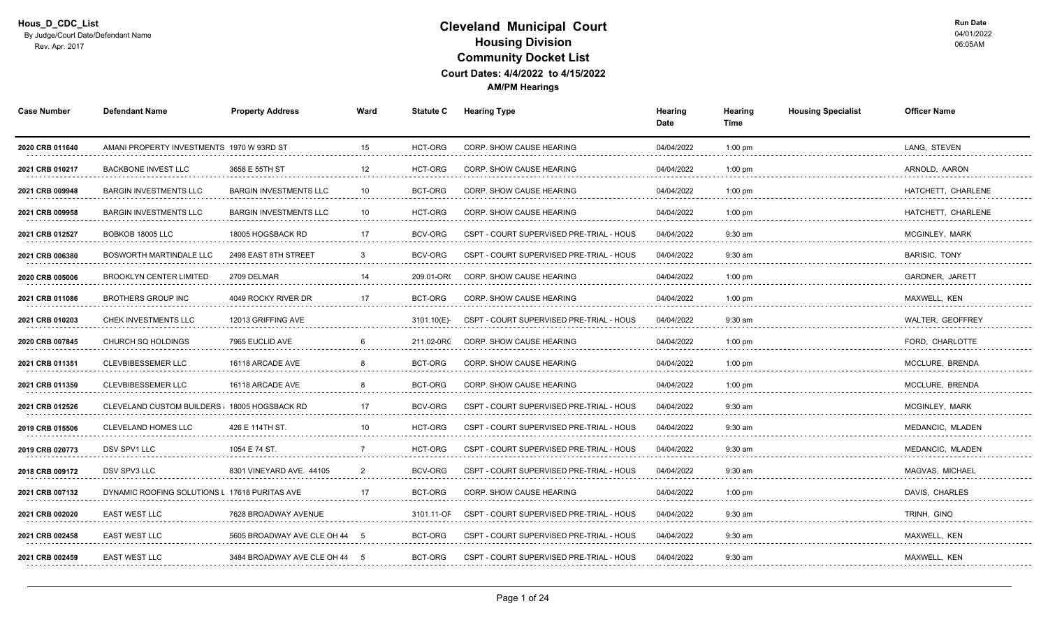| <b>Case Number</b>   | <b>Defendant Name</b>                         | <b>Property Address</b>       | Ward | <b>Statute C</b> | <b>Hearing Type</b>                      | Hearing<br>Date | Hearing<br>Time | <b>Housing Specialist</b> | <b>Officer Name</b>         |
|----------------------|-----------------------------------------------|-------------------------------|------|------------------|------------------------------------------|-----------------|-----------------|---------------------------|-----------------------------|
| 2020 CRB 011640      | AMANI PROPERTY INVESTMENTS 1970 W 93RD ST     |                               | 15   | HCT-ORG          | <b>CORP. SHOW CAUSE HEARING</b>          | 04/04/2022      | $1:00$ pm       |                           | LANG, STEVEN                |
| 2021 CRB 010217      | <b>BACKBONE INVEST LLC</b>                    | 3658 E 55TH ST                | 12   | HCT-ORG          | CORP. SHOW CAUSE HEARING                 | 04/04/2022      | $1:00$ pm       |                           | ARNOLD, AARON<br>.          |
| 2021 CRB 009948      | <b>BARGIN INVESTMENTS LLC</b>                 | <b>BARGIN INVESTMENTS LLC</b> | 10   | BCT-ORG          | <b>CORP. SHOW CAUSE HEARING</b>          | 04/04/2022      | $1:00$ pm       |                           | HATCHETT, CHARLENE          |
| 2021 CRB 009958      | <b>BARGIN INVESTMENTS LLC</b>                 | <b>BARGIN INVESTMENTS LLC</b> | 10   | <b>HCT-ORG</b>   | <b>CORP. SHOW CAUSE HEARING</b>          | 04/04/2022      | $1:00$ pm       |                           | HATCHETT, CHARLENE          |
| 2021 CRB 012527      | BOBKOB 18005 LLC                              | 18005 HOGSBACK RD             | 17   | <b>BCV-ORG</b>   | CSPT - COURT SUPERVISED PRE-TRIAL - HOUS | 04/04/2022      | $9:30$ am       |                           | <b>MCGINLEY, MARK</b>       |
| 2021 CRB 006380      | <b>BOSWORTH MARTINDALE LLC</b>                | 2498 EAST 8TH STREET          | 3    | BCV-ORG          | CSPT - COURT SUPERVISED PRE-TRIAL - HOUS | 04/04/2022      | $9:30$ am       |                           | <b>BARISIC. TONY</b>        |
| 2020 CRB 005006<br>. | <b>BROOKLYN CENTER LIMITED</b>                | 2709 DELMAR                   | 14   | 209.01-OR        | <b>CORP. SHOW CAUSE HEARING</b>          | 04/04/2022      | $1:00$ pm       |                           | <b>GARDNER, JARETT</b><br>. |
| 2021 CRB 011086      | <b>BROTHERS GROUP INC</b>                     | 4049 ROCKY RIVER DR           | 17   | BCT-ORG          | <b>CORP. SHOW CAUSE HEARING</b>          | 04/04/2022      | $1:00$ pm       |                           | MAXWELL, KEN                |
| 2021 CRB 010203      | CHEK INVESTMENTS LLC                          | 12013 GRIFFING AVE            |      | 3101.10(E)-      | CSPT - COURT SUPERVISED PRE-TRIAL - HOUS | 04/04/2022      | $9:30$ am       |                           | WALTER, GEOFFREY            |
| 2020 CRB 007845      | CHURCH SQ HOLDINGS                            | 7965 EUCLID AVE               | 6    | 211.02-0RC       | CORP. SHOW CAUSE HEARING                 | 04/04/2022      | $1:00$ pm       |                           | FORD, CHARLOTTE             |
| 2021 CRB 011351<br>. | <b>CLEVBIBESSEMER LLC</b>                     | 16118 ARCADE AVE              |      | BCT-ORG          | CORP. SHOW CAUSE HEARING                 | 04/04/2022<br>. | $1:00$ pm<br>.  |                           | MCCLURE, BRENDA<br>.        |
| 2021 CRB 011350      | <b>CLEVBIBESSEMER LLC</b>                     | 16118 ARCADE AVE              |      | BCT-ORG          | CORP. SHOW CAUSE HEARING                 | 04/04/2022      | $1:00$ pm       |                           | MCCLURE, BRENDA             |
| 2021 CRB 012526      | CLEVELAND CUSTOM BUILDERS ( 18005 HOGSBACK RD |                               | 17   | <b>BCV-ORG</b>   | CSPT - COURT SUPERVISED PRE-TRIAL - HOUS | 04/04/2022      | $9:30$ am       |                           | MCGINLEY, MARK              |
| 2019 CRB 015506      | <b>CLEVELAND HOMES LLC</b>                    | 426 E 114TH ST.               | 10   | HCT-ORG          | CSPT - COURT SUPERVISED PRE-TRIAL - HOUS | 04/04/2022      | $9:30$ am       |                           | MEDANCIC, MLADEN            |
| 2019 CRB 020773<br>. | DSV SPV1 LLC<br>.                             | 1054 E 74 ST.<br>.            |      | HCT-ORG          | CSPT - COURT SUPERVISED PRE-TRIAL - HOUS | 04/04/2022      | $9:30$ am       |                           | MEDANCIC, MLADEN<br>.       |
| 2018 CRB 009172      | DSV SPV3 LLC                                  | 8301 VINEYARD AVE 44105       |      | <b>BCV-ORG</b>   | CSPT - COURT SUPERVISED PRE-TRIAL - HOUS | 04/04/2022      | $9:30$ am       |                           | MAGVAS, MICHAEL             |
| 2021 CRB 007132      | DYNAMIC ROOFING SOLUTIONS L 17618 PURITAS AVE |                               | 17   | BCT-ORG          | <b>CORP. SHOW CAUSE HEARING</b>          | 04/04/2022      | $1:00$ pm       |                           | DAVIS, CHARLES              |
| 2021 CRB 002020      | <b>EAST WEST LLC</b>                          | 7628 BROADWAY AVENUE          |      | 3101.11-OF       | CSPT - COURT SUPERVISED PRE-TRIAL - HOUS | 04/04/2022      | $9:30$ am       |                           | TRINH, GINO                 |
| 2021 CRB 002458<br>. | EAST WEST LLC<br>.                            | 5605 BROADWAY AVE CLE OH 44   | - 5  | BCT-ORG          | CSPT - COURT SUPERVISED PRE-TRIAL - HOUS | 04/04/2022<br>. | $9:30$ am<br>.  |                           | MAXWELL, KEN<br>.           |
| 2021 CRB 002459      | <b>EAST WEST LLC</b>                          | 3484 BROADWAY AVE CLE OH 44 5 |      | BCT-ORG          | CSPT - COURT SUPERVISED PRE-TRIAL - HOUS | 04/04/2022      | $9:30$ am       |                           | MAXWELL, KEN                |
|                      |                                               |                               |      |                  |                                          |                 |                 |                           |                             |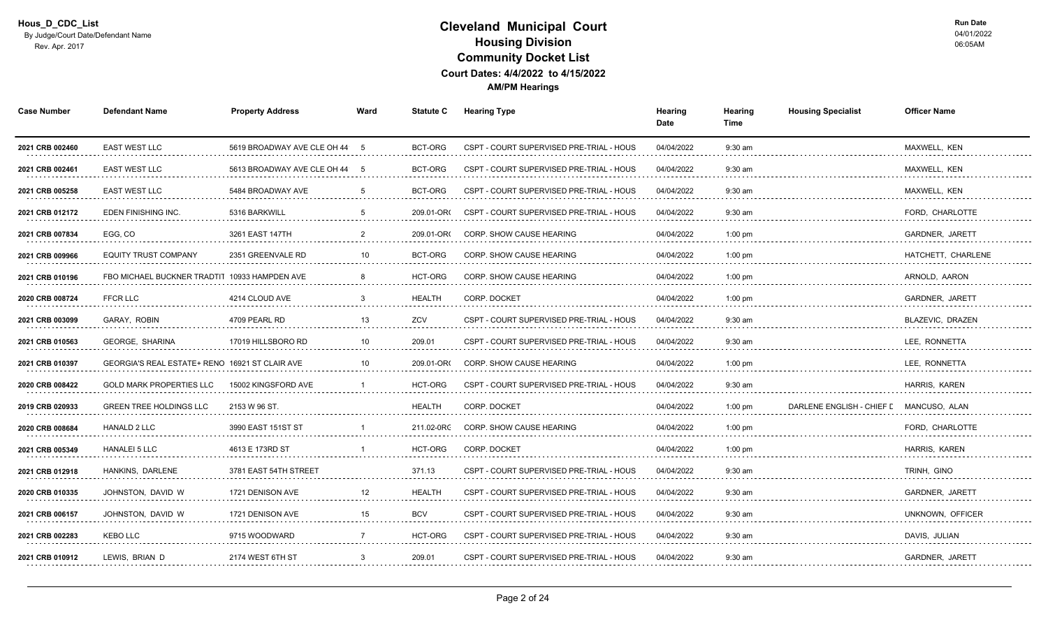| <b>Case Number</b>   | <b>Defendant Name</b>                          | <b>Property Address</b>       | Ward           |               | <b>Statute C</b> Hearing Type            | Hearing<br>Date | Hearing<br>Time | <b>Housing Specialist</b> | <b>Officer Name</b>    |
|----------------------|------------------------------------------------|-------------------------------|----------------|---------------|------------------------------------------|-----------------|-----------------|---------------------------|------------------------|
| 2021 CRB 002460      | <b>EAST WEST LLC</b>                           | 5619 BROADWAY AVE CLE OH 44 5 |                | BCT-ORG       | CSPT - COURT SUPERVISED PRE-TRIAL - HOUS | 04/04/2022      | $9:30$ am       |                           | MAXWELL, KEN           |
| 2021 CRB 002461      | EAST WEST LLC<br>.                             | 5613 BROADWAY AVE CLE OH 44   | -5             | BCT-ORG       | CSPT - COURT SUPERVISED PRE-TRIAL - HOUS | 04/04/2022      | $9:30$ am       |                           | MAXWELL, KEN<br>.      |
| 2021 CRB 005258<br>. | <b>EAST WEST LLC</b><br>.                      | 5484 BROADWAY AVE             |                | BCT-ORG       | CSPT - COURT SUPERVISED PRE-TRIAL - HOUS | 04/04/2022<br>. | $9:30$ am       |                           | MAXWELL, KEN<br>.      |
| 2021 CRB 012172      | EDEN FINISHING INC.                            | 5316 BARKWILL                 | -5             | 209.01-OR     | CSPT - COURT SUPERVISED PRE-TRIAL - HOUS | 04/04/2022      | $9:30$ am       |                           | FORD, CHARLOTTE        |
| 2021 CRB 007834      | EGG, CO                                        | 3261 EAST 147TH               | $\overline{2}$ | 209.01-OR     | CORP. SHOW CAUSE HEARING                 | 04/04/2022      | $1:00$ pm       |                           | GARDNER, JARETT        |
| 2021 CRB 009966      | <b>EQUITY TRUST COMPANY</b>                    | 2351 GREENVALE RD             | 10             | BCT-ORG       | CORP. SHOW CAUSE HEARING                 | 04/04/2022      | $1:00$ pm       |                           | HATCHETT, CHARLENE     |
| 2021 CRB 010196      | FBO MICHAEL BUCKNER TRADTIT 10933 HAMPDEN AVE  |                               |                | HCT-ORG       | <b>CORP. SHOW CAUSE HEARING</b>          | 04/04/2022      | $1:00$ pm       |                           | ARNOLD, AARON<br>.     |
| 2020 CRB 008724      | <b>FFCR LLC</b>                                | 4214 CLOUD AVE                |                | <b>HEALTH</b> | CORP. DOCKET                             | 04/04/2022      | $1:00$ pm       |                           | <b>GARDNER, JARETT</b> |
| 2021 CRB 003099      | GARAY, ROBIN                                   | 4709 PEARL RD                 | 13             | ZCV           | CSPT - COURT SUPERVISED PRE-TRIAL - HOUS | 04/04/2022      | $9:30$ am       |                           | BLAZEVIC, DRAZEN       |
| 2021 CRB 010563      | <b>GEORGE, SHARINA</b>                         | 17019 HILLSBORO RD            | 10             | 209.01        | CSPT - COURT SUPERVISED PRE-TRIAL - HOUS | 04/04/2022      | $9:30$ am       |                           | LEE, RONNETTA          |
| 2021 CRB 010397<br>. | GEORGIA'S REAL ESTATE+ RENO 16921 ST CLAIR AVE |                               |                | 209.01-OR     | <b>CORP. SHOW CAUSE HEARING</b>          | 04/04/2022<br>. | $1:00$ pm       |                           | LEE, RONNETTA<br>.     |
| 2020 CRB 008422      | GOLD MARK PROPERTIES LLC                       | 15002 KINGSFORD AVE           |                | HCT-ORG       | CSPT - COURT SUPERVISED PRE-TRIAL        | 04/04/2022      | $9:30$ am       |                           | <b>HARRIS, KAREN</b>   |
| 2019 CRB 020933      | <b>GREEN TREE HOLDINGS LLC</b>                 | 2153 W 96 ST.                 |                | <b>HEALTH</b> | <b>CORP. DOCKET</b>                      | 04/04/2022      | $1:00$ pm       | DARLENE ENGLISH - CHIEF   | MANCUSO, ALAN          |
| 2020 CRB 008684      | <b>HANALD 2 LLC</b>                            | 3990 EAST 151ST ST            |                | 211.02-0RC    | CORP. SHOW CAUSE HEARING                 | 04/04/2022      | $1:00$ pm       |                           | FORD, CHARLOTTE        |
| 2021 CRB 005349<br>. | <b>HANALEI 5 LLC</b><br>.                      | 4613 E 173RD ST               |                | HCT-ORG       | CORP. DOCKET<br>.                        | 04/04/2022      | $1:00$ pm       |                           | HARRIS, KAREN<br>.     |
| 2021 CRB 012918      | HANKINS, DARLENE                               | 3781 EAST 54TH STREET         |                | 371.13        | CSPT - COURT SUPERVISED PRE-TRIAL - HOUS | 04/04/2022      | $9:30$ am       |                           | TRINH, GINO            |
| 2020 CRB 010335      | JOHNSTON. DAVID W                              | 1721 DENISON AVE              |                | <b>HEALTH</b> | CSPT - COURT SUPERVISED PRE-TRIAL - HOUS | 04/04/2022      | $9:30$ am       |                           | <b>GARDNER, JARETT</b> |
| 2021 CRB 006157      | JOHNSTON, DAVID W                              | 1721 DENISON AVE              | 15             | <b>BCV</b>    | CSPT - COURT SUPERVISED PRE-TRIAL - HOUS | 04/04/2022      | $9:30$ am       |                           | UNKNOWN, OFFICER       |
| 2021 CRB 002283<br>. | <b>KEBO LLC</b>                                | 9715 WOODWARD<br>.            |                | HCT-ORG       | CSPT - COURT SUPERVISED PRE-TRIAL - HOUS | 04/04/2022      | $9:30$ am       |                           | DAVIS, JULIAN<br>.     |
| 2021 CRB 010912      | LEWIS, BRIAN D                                 | 2174 WEST 6TH ST              |                | 209.01        | CSPT - COURT SUPERVISED PRE-TRIAL - HOUS | 04/04/2022      | 9:30 am         |                           | GARDNER, JARETT        |
|                      |                                                |                               |                |               |                                          |                 |                 |                           |                        |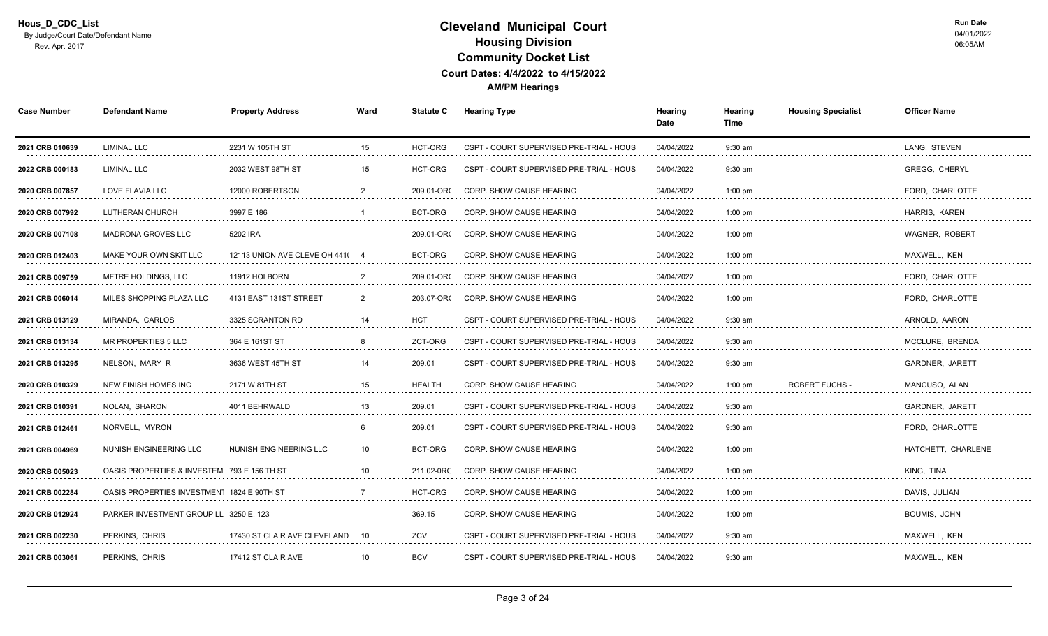| 15<br>LANG, STEVEN<br>LIMINAL LLC<br>2231 W 105TH ST<br>HCT-ORG<br>CSPT - COURT SUPERVISED PRE-TRIAL - HOUS<br>04/04/2022<br>$9:30$ am<br>2021 CRB 010639<br><b>LIMINAL LLC</b><br>HCT-ORG<br><b>GREGG, CHERYL</b><br>2022 CRB 000183<br>2032 WEST 98TH ST<br>15<br>CSPT - COURT SUPERVISED PRE-TRIAL - HOUS<br>04/04/2022<br>$9:30$ am<br>12000 ROBERTSON<br><b>CORP. SHOW CAUSE HEARING</b><br>FORD, CHARLOTTE<br>2020 CRB 007857<br>LOVE FLAVIA LLC<br>209.01-OR<br>04/04/2022<br>$1:00$ pm<br>.<br>.<br>distribution district<br>did did did did did di<br>.<br>LUTHERAN CHURCH<br>3997 E 186<br>CORP. SHOW CAUSE HEARING<br>04/04/2022<br>$1:00$ pm<br>BCT-ORG<br>HARRIS, KAREN<br>2020 CRB 007992<br>.<br>.<br>5202 IRA<br><b>MADRONA GROVES LLC</b><br>209.01-OR<br><b>CORP. SHOW CAUSE HEARING</b><br>04/04/2022<br>$1:00$ pm<br><b>WAGNER, ROBERT</b><br>2020 CRB 007108<br>04/04/2022<br>MAXWELL, KEN<br>2020 CRB 012403<br>MAKE YOUR OWN SKIT LLC<br>12113 UNION AVE CLEVE OH 441(4<br>BCT-ORG<br>CORP. SHOW CAUSE HEARING<br>$1:00$ pm<br>MFTRE HOLDINGS, LLC<br>11912 HOLBORN<br><b>CORP. SHOW CAUSE HEARING</b><br>04/04/2022<br>FORD, CHARLOTTE<br>209.01-OR<br>$1:00$ pm<br>2021 CRB 009759<br>.<br>MILES SHOPPING PLAZA LLC<br>04/04/2022<br>4131 EAST 131ST STREET<br>203.07-OR(<br><b>CORP. SHOW CAUSE HEARING</b><br>$1:00$ pm<br>FORD, CHARLOTTE<br>2021 CRB 006014<br>.<br>.<br>MIRANDA. CARLOS<br>3325 SCRANTON RD<br><b>HCT</b><br>04/04/2022<br>$9:30$ am<br>ARNOLD, AARON<br>14<br>CSPT - COURT SUPERVISED PRE-TRIAL - HOUS<br>2021 CRB 013129<br>364 E 161ST ST<br>ZCT-ORG<br>04/04/2022<br>MCCLURE. BRENDA<br>MR PROPERTIES 5 LLC<br>CSPT - COURT SUPERVISED PRE-TRIAL - HOUS<br>$9:30$ am<br>2021 CRB 013134<br>-8<br>209.01<br>GARDNER, JARETT<br>2021 CRB 013295<br>NELSON, MARY R<br>3636 WEST 45TH ST<br>CSPT - COURT SUPERVISED PRE-TRIAL - HOUS<br>04/04/2022<br>$9:30$ am<br>14<br>2171 W 81TH ST<br><b>HEALTH</b><br><b>CORP. SHOW CAUSE HEARING</b><br>04/04/2022<br>$1:00$ pm<br><b>ROBERT FUCHS</b><br>MANCUSO, ALAN<br>2020 CRB 010329<br>NEW FINISH HOMES INC<br>.<br>NOLAN, SHARON<br>209.01<br>4011 BEHRWALD<br>13<br>04/04/2022<br>$9:30$ am<br><b>GARDNER, JARETT</b><br>2021 CRB 010391<br>CSPT - COURT SUPERVISED PRE-TRIAL - HOUS<br>2021 CRB 012461<br>209.01<br>04/04/2022<br>FORD, CHARLOTTE<br>NORVELL, MYRON<br>CSPT - COURT SUPERVISED PRE-TRIAL - HOUS<br>$9:30$ am<br>-6<br>2021 CRB 004969<br>NUNISH ENGINEERING LLC<br>NUNISH ENGINEERING LLC<br>10<br>BCT-ORG<br>CORP. SHOW CAUSE HEARING<br>04/04/2022<br>$1:00$ pm<br>HATCHETT, CHARLENE<br>.<br>CORP. SHOW CAUSE HEARING<br>04/04/2022<br>$1:00$ pm<br>KING, TINA<br>2020 CRB 005023<br>OASIS PROPERTIES & INVESTEMI 793 E 156 TH ST<br>211.02-0RC<br>2021 CRB 002284<br><b>HCT-ORG</b><br>04/04/2022<br>OASIS PROPERTIES INVESTMENT 1824 E 90TH ST<br>CORP. SHOW CAUSE HEARING<br>$1:00$ pm<br>DAVIS, JULIAN<br>369.15<br><b>BOUMIS, JOHN</b><br>2020 CRB 012924<br>PARKER INVESTMENT GROUP LL 3250 E. 123<br><b>CORP. SHOW CAUSE HEARING</b><br>04/04/2022<br>$1:00$ pm<br>ZCV<br>MAXWELL, KEN<br>PERKINS, CHRIS<br>17430 ST CLAIR AVE CLEVELAND<br>CSPT - COURT SUPERVISED PRE-TRIAL - HOUS<br>04/04/2022<br>$9:30$ am<br>2021 CRB 002230<br>10<br>.<br>.<br>.<br>.<br>.<br>CSPT - COURT SUPERVISED PRE-TRIAL - HOUS<br>PERKINS, CHRIS<br>17412 ST CLAIR AVE<br><b>BCV</b><br>04/04/2022<br>$9:30$ am<br>MAXWELL, KEN<br>2021 CRB 003061<br>10 | <b>Case Number</b> | <b>Defendant Name</b> | <b>Property Address</b> | Ward | <b>Statute C</b> | <b>Hearing Type</b> | Hearing<br>Date | Hearing<br>Time | <b>Housing Specialist</b> | <b>Officer Name</b> |
|------------------------------------------------------------------------------------------------------------------------------------------------------------------------------------------------------------------------------------------------------------------------------------------------------------------------------------------------------------------------------------------------------------------------------------------------------------------------------------------------------------------------------------------------------------------------------------------------------------------------------------------------------------------------------------------------------------------------------------------------------------------------------------------------------------------------------------------------------------------------------------------------------------------------------------------------------------------------------------------------------------------------------------------------------------------------------------------------------------------------------------------------------------------------------------------------------------------------------------------------------------------------------------------------------------------------------------------------------------------------------------------------------------------------------------------------------------------------------------------------------------------------------------------------------------------------------------------------------------------------------------------------------------------------------------------------------------------------------------------------------------------------------------------------------------------------------------------------------------------------------------------------------------------------------------------------------------------------------------------------------------------------------------------------------------------------------------------------------------------------------------------------------------------------------------------------------------------------------------------------------------------------------------------------------------------------------------------------------------------------------------------------------------------------------------------------------------------------------------------------------------------------------------------------------------------------------------------------------------------------------------------------------------------------------------------------------------------------------------------------------------------------------------------------------------------------------------------------------------------------------------------------------------------------------------------------------------------------------------------------------------------------------------------------------------------------------------------------------------------------------------------------------------------------------------------------------------------------------------------------------------------------------------------------------------------------------------------------------------------------------------------------------------------------------------------------------------------|--------------------|-----------------------|-------------------------|------|------------------|---------------------|-----------------|-----------------|---------------------------|---------------------|
|                                                                                                                                                                                                                                                                                                                                                                                                                                                                                                                                                                                                                                                                                                                                                                                                                                                                                                                                                                                                                                                                                                                                                                                                                                                                                                                                                                                                                                                                                                                                                                                                                                                                                                                                                                                                                                                                                                                                                                                                                                                                                                                                                                                                                                                                                                                                                                                                                                                                                                                                                                                                                                                                                                                                                                                                                                                                                                                                                                                                                                                                                                                                                                                                                                                                                                                                                                                                                                                                  |                    |                       |                         |      |                  |                     |                 |                 |                           |                     |
|                                                                                                                                                                                                                                                                                                                                                                                                                                                                                                                                                                                                                                                                                                                                                                                                                                                                                                                                                                                                                                                                                                                                                                                                                                                                                                                                                                                                                                                                                                                                                                                                                                                                                                                                                                                                                                                                                                                                                                                                                                                                                                                                                                                                                                                                                                                                                                                                                                                                                                                                                                                                                                                                                                                                                                                                                                                                                                                                                                                                                                                                                                                                                                                                                                                                                                                                                                                                                                                                  |                    |                       |                         |      |                  |                     |                 |                 |                           |                     |
|                                                                                                                                                                                                                                                                                                                                                                                                                                                                                                                                                                                                                                                                                                                                                                                                                                                                                                                                                                                                                                                                                                                                                                                                                                                                                                                                                                                                                                                                                                                                                                                                                                                                                                                                                                                                                                                                                                                                                                                                                                                                                                                                                                                                                                                                                                                                                                                                                                                                                                                                                                                                                                                                                                                                                                                                                                                                                                                                                                                                                                                                                                                                                                                                                                                                                                                                                                                                                                                                  |                    |                       |                         |      |                  |                     |                 |                 |                           |                     |
|                                                                                                                                                                                                                                                                                                                                                                                                                                                                                                                                                                                                                                                                                                                                                                                                                                                                                                                                                                                                                                                                                                                                                                                                                                                                                                                                                                                                                                                                                                                                                                                                                                                                                                                                                                                                                                                                                                                                                                                                                                                                                                                                                                                                                                                                                                                                                                                                                                                                                                                                                                                                                                                                                                                                                                                                                                                                                                                                                                                                                                                                                                                                                                                                                                                                                                                                                                                                                                                                  |                    |                       |                         |      |                  |                     |                 |                 |                           |                     |
|                                                                                                                                                                                                                                                                                                                                                                                                                                                                                                                                                                                                                                                                                                                                                                                                                                                                                                                                                                                                                                                                                                                                                                                                                                                                                                                                                                                                                                                                                                                                                                                                                                                                                                                                                                                                                                                                                                                                                                                                                                                                                                                                                                                                                                                                                                                                                                                                                                                                                                                                                                                                                                                                                                                                                                                                                                                                                                                                                                                                                                                                                                                                                                                                                                                                                                                                                                                                                                                                  |                    |                       |                         |      |                  |                     |                 |                 |                           |                     |
|                                                                                                                                                                                                                                                                                                                                                                                                                                                                                                                                                                                                                                                                                                                                                                                                                                                                                                                                                                                                                                                                                                                                                                                                                                                                                                                                                                                                                                                                                                                                                                                                                                                                                                                                                                                                                                                                                                                                                                                                                                                                                                                                                                                                                                                                                                                                                                                                                                                                                                                                                                                                                                                                                                                                                                                                                                                                                                                                                                                                                                                                                                                                                                                                                                                                                                                                                                                                                                                                  |                    |                       |                         |      |                  |                     |                 |                 |                           |                     |
|                                                                                                                                                                                                                                                                                                                                                                                                                                                                                                                                                                                                                                                                                                                                                                                                                                                                                                                                                                                                                                                                                                                                                                                                                                                                                                                                                                                                                                                                                                                                                                                                                                                                                                                                                                                                                                                                                                                                                                                                                                                                                                                                                                                                                                                                                                                                                                                                                                                                                                                                                                                                                                                                                                                                                                                                                                                                                                                                                                                                                                                                                                                                                                                                                                                                                                                                                                                                                                                                  |                    |                       |                         |      |                  |                     |                 |                 |                           |                     |
|                                                                                                                                                                                                                                                                                                                                                                                                                                                                                                                                                                                                                                                                                                                                                                                                                                                                                                                                                                                                                                                                                                                                                                                                                                                                                                                                                                                                                                                                                                                                                                                                                                                                                                                                                                                                                                                                                                                                                                                                                                                                                                                                                                                                                                                                                                                                                                                                                                                                                                                                                                                                                                                                                                                                                                                                                                                                                                                                                                                                                                                                                                                                                                                                                                                                                                                                                                                                                                                                  |                    |                       |                         |      |                  |                     |                 |                 |                           |                     |
|                                                                                                                                                                                                                                                                                                                                                                                                                                                                                                                                                                                                                                                                                                                                                                                                                                                                                                                                                                                                                                                                                                                                                                                                                                                                                                                                                                                                                                                                                                                                                                                                                                                                                                                                                                                                                                                                                                                                                                                                                                                                                                                                                                                                                                                                                                                                                                                                                                                                                                                                                                                                                                                                                                                                                                                                                                                                                                                                                                                                                                                                                                                                                                                                                                                                                                                                                                                                                                                                  |                    |                       |                         |      |                  |                     |                 |                 |                           |                     |
|                                                                                                                                                                                                                                                                                                                                                                                                                                                                                                                                                                                                                                                                                                                                                                                                                                                                                                                                                                                                                                                                                                                                                                                                                                                                                                                                                                                                                                                                                                                                                                                                                                                                                                                                                                                                                                                                                                                                                                                                                                                                                                                                                                                                                                                                                                                                                                                                                                                                                                                                                                                                                                                                                                                                                                                                                                                                                                                                                                                                                                                                                                                                                                                                                                                                                                                                                                                                                                                                  |                    |                       |                         |      |                  |                     |                 |                 |                           |                     |
|                                                                                                                                                                                                                                                                                                                                                                                                                                                                                                                                                                                                                                                                                                                                                                                                                                                                                                                                                                                                                                                                                                                                                                                                                                                                                                                                                                                                                                                                                                                                                                                                                                                                                                                                                                                                                                                                                                                                                                                                                                                                                                                                                                                                                                                                                                                                                                                                                                                                                                                                                                                                                                                                                                                                                                                                                                                                                                                                                                                                                                                                                                                                                                                                                                                                                                                                                                                                                                                                  |                    |                       |                         |      |                  |                     |                 |                 |                           |                     |
|                                                                                                                                                                                                                                                                                                                                                                                                                                                                                                                                                                                                                                                                                                                                                                                                                                                                                                                                                                                                                                                                                                                                                                                                                                                                                                                                                                                                                                                                                                                                                                                                                                                                                                                                                                                                                                                                                                                                                                                                                                                                                                                                                                                                                                                                                                                                                                                                                                                                                                                                                                                                                                                                                                                                                                                                                                                                                                                                                                                                                                                                                                                                                                                                                                                                                                                                                                                                                                                                  |                    |                       |                         |      |                  |                     |                 |                 |                           |                     |
|                                                                                                                                                                                                                                                                                                                                                                                                                                                                                                                                                                                                                                                                                                                                                                                                                                                                                                                                                                                                                                                                                                                                                                                                                                                                                                                                                                                                                                                                                                                                                                                                                                                                                                                                                                                                                                                                                                                                                                                                                                                                                                                                                                                                                                                                                                                                                                                                                                                                                                                                                                                                                                                                                                                                                                                                                                                                                                                                                                                                                                                                                                                                                                                                                                                                                                                                                                                                                                                                  |                    |                       |                         |      |                  |                     |                 |                 |                           |                     |
|                                                                                                                                                                                                                                                                                                                                                                                                                                                                                                                                                                                                                                                                                                                                                                                                                                                                                                                                                                                                                                                                                                                                                                                                                                                                                                                                                                                                                                                                                                                                                                                                                                                                                                                                                                                                                                                                                                                                                                                                                                                                                                                                                                                                                                                                                                                                                                                                                                                                                                                                                                                                                                                                                                                                                                                                                                                                                                                                                                                                                                                                                                                                                                                                                                                                                                                                                                                                                                                                  |                    |                       |                         |      |                  |                     |                 |                 |                           |                     |
|                                                                                                                                                                                                                                                                                                                                                                                                                                                                                                                                                                                                                                                                                                                                                                                                                                                                                                                                                                                                                                                                                                                                                                                                                                                                                                                                                                                                                                                                                                                                                                                                                                                                                                                                                                                                                                                                                                                                                                                                                                                                                                                                                                                                                                                                                                                                                                                                                                                                                                                                                                                                                                                                                                                                                                                                                                                                                                                                                                                                                                                                                                                                                                                                                                                                                                                                                                                                                                                                  |                    |                       |                         |      |                  |                     |                 |                 |                           |                     |
|                                                                                                                                                                                                                                                                                                                                                                                                                                                                                                                                                                                                                                                                                                                                                                                                                                                                                                                                                                                                                                                                                                                                                                                                                                                                                                                                                                                                                                                                                                                                                                                                                                                                                                                                                                                                                                                                                                                                                                                                                                                                                                                                                                                                                                                                                                                                                                                                                                                                                                                                                                                                                                                                                                                                                                                                                                                                                                                                                                                                                                                                                                                                                                                                                                                                                                                                                                                                                                                                  |                    |                       |                         |      |                  |                     |                 |                 |                           |                     |
|                                                                                                                                                                                                                                                                                                                                                                                                                                                                                                                                                                                                                                                                                                                                                                                                                                                                                                                                                                                                                                                                                                                                                                                                                                                                                                                                                                                                                                                                                                                                                                                                                                                                                                                                                                                                                                                                                                                                                                                                                                                                                                                                                                                                                                                                                                                                                                                                                                                                                                                                                                                                                                                                                                                                                                                                                                                                                                                                                                                                                                                                                                                                                                                                                                                                                                                                                                                                                                                                  |                    |                       |                         |      |                  |                     |                 |                 |                           |                     |
|                                                                                                                                                                                                                                                                                                                                                                                                                                                                                                                                                                                                                                                                                                                                                                                                                                                                                                                                                                                                                                                                                                                                                                                                                                                                                                                                                                                                                                                                                                                                                                                                                                                                                                                                                                                                                                                                                                                                                                                                                                                                                                                                                                                                                                                                                                                                                                                                                                                                                                                                                                                                                                                                                                                                                                                                                                                                                                                                                                                                                                                                                                                                                                                                                                                                                                                                                                                                                                                                  |                    |                       |                         |      |                  |                     |                 |                 |                           |                     |
|                                                                                                                                                                                                                                                                                                                                                                                                                                                                                                                                                                                                                                                                                                                                                                                                                                                                                                                                                                                                                                                                                                                                                                                                                                                                                                                                                                                                                                                                                                                                                                                                                                                                                                                                                                                                                                                                                                                                                                                                                                                                                                                                                                                                                                                                                                                                                                                                                                                                                                                                                                                                                                                                                                                                                                                                                                                                                                                                                                                                                                                                                                                                                                                                                                                                                                                                                                                                                                                                  |                    |                       |                         |      |                  |                     |                 |                 |                           |                     |
|                                                                                                                                                                                                                                                                                                                                                                                                                                                                                                                                                                                                                                                                                                                                                                                                                                                                                                                                                                                                                                                                                                                                                                                                                                                                                                                                                                                                                                                                                                                                                                                                                                                                                                                                                                                                                                                                                                                                                                                                                                                                                                                                                                                                                                                                                                                                                                                                                                                                                                                                                                                                                                                                                                                                                                                                                                                                                                                                                                                                                                                                                                                                                                                                                                                                                                                                                                                                                                                                  |                    |                       |                         |      |                  |                     |                 |                 |                           |                     |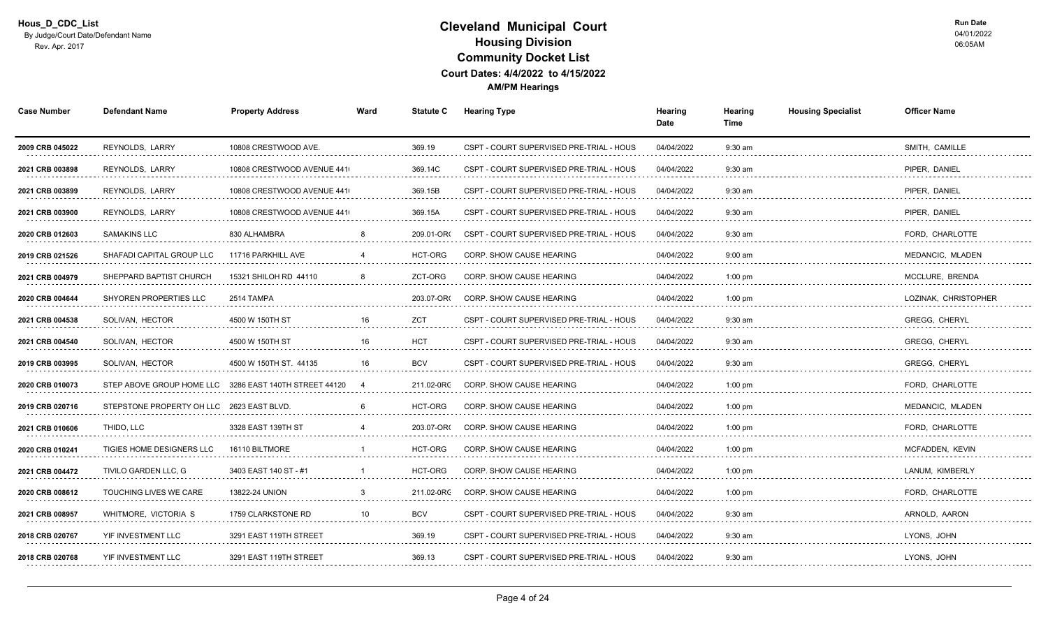| <b>Case Number</b>   | <b>Defendant Name</b>     | <b>Property Address</b>      | Ward | <b>Statute C</b> | <b>Hearing Type</b>                      | Hearing<br>Date | Hearing<br>Time                    | <b>Housing Specialist</b> | <b>Officer Name</b>       |  |
|----------------------|---------------------------|------------------------------|------|------------------|------------------------------------------|-----------------|------------------------------------|---------------------------|---------------------------|--|
| 2009 CRB 045022      | REYNOLDS, LARRY           | 10808 CRESTWOOD AVE.         |      | 369.19           | CSPT - COURT SUPERVISED PRE-TRIAL - HOUS | 04/04/2022      | $9:30$ am                          |                           | SMITH, CAMILLE            |  |
| 2021 CRB 003898<br>. | <b>REYNOLDS, LARRY</b>    | 10808 CRESTWOOD AVENUE 441   |      | 369.14C          | CSPT - COURT SUPERVISED PRE-TRIAL - HOUS | 04/04/2022<br>. | $9:30$ am<br>.                     |                           | PIPER. DANIEL<br>.        |  |
| 2021 CRB 003899<br>. | REYNOLDS, LARRY           | 10808 CRESTWOOD AVENUE 441   |      | 369.15B          | CSPT - COURT SUPERVISED PRE-TRIAL - HOUS | 04/04/2022      | $9:30$ am                          |                           | PIPER, DANIEL             |  |
| 2021 CRB 003900      | REYNOLDS, LARRY           | 10808 CRESTWOOD AVENUE 441   |      | 369.15A          | CSPT - COURT SUPERVISED PRE-TRIAL - HOUS | 04/04/2022      | $9:30$ am                          |                           | PIPER, DANIEL             |  |
| 2020 CRB 012603      | <b>SAMAKINS LLC</b><br>.  | 830 ALHAMBRA                 |      | 209.01-OR        | CSPT - COURT SUPERVISED PRE-TRIAL - HOUS | 04/04/2022      | $9:30$ am                          |                           | FORD, CHARLOTTE<br>.      |  |
| 2019 CRB 021526      | SHAFADI CAPITAL GROUP LLC | 11716 PARKHILL AVE           |      | HCT-ORG          | CORP. SHOW CAUSE HEARING                 | 04/04/2022      | $9:00$ am                          |                           | MEDANCIC, MLADEN          |  |
| 2021 CRB 004979<br>. | SHEPPARD BAPTIST CHURCH   | 15321 SHILOH RD 44110        |      | ZCT-ORG          | <b>CORP. SHOW CAUSE HEARING</b>          | 04/04/2022      | $1:00$ pm                          |                           | MCCLURE, BRENDA<br>.      |  |
| 2020 CRB 004644      | SHYOREN PROPERTIES LLC    | 2514 TAMPA                   |      | 203.07-OR        | <b>CORP. SHOW CAUSE HEARING</b>          | 04/04/2022      | $1:00$ pm                          |                           | LOZINAK, CHRISTOPHER      |  |
| 2021 CRB 004538      | SOLIVAN, HECTOR           | 4500 W 150TH ST              | 16   | <b>ZCT</b>       | CSPT - COURT SUPERVISED PRE-TRIAL - HOUS | 04/04/2022      | $9:30$ am                          |                           | <b>GREGG, CHERYL</b>      |  |
| 2021 CRB 004540<br>. | SOLIVAN, HECTOR           | 4500 W 150TH ST              | 16   | <b>HCT</b><br>.  | CSPT - COURT SUPERVISED PRE-TRIAL - HOUS | 04/04/2022<br>. | $9:30$ am<br>distribution district |                           | <b>GREGG, CHERYL</b>      |  |
| 2019 CRB 003995      | SOLIVAN, HECTOR           | 4500 W 150TH ST. 44135       | 16   | <b>BCV</b>       | CSPT - COURT SUPERVISED PRE-TRIAL - HOUS | 04/04/2022      | 9:30 am                            |                           | <b>GREGG, CHERYL</b><br>. |  |
| 2020 CRB 010073      | STEP ABOVE GROUP HOME LLC | 3286 EAST 140TH STREET 44120 |      | 211.02-0RC       | CORP. SHOW CAUSE HEARING                 | 04/04/2022      | $1:00$ pm                          |                           | FORD. CHARLOTTE           |  |
| 2019 CRB 020716      | STEPSTONE PROPERTY OH LLC | 2623 EAST BLVD.              |      | HCT-ORG          | CORP. SHOW CAUSE HEARING                 | 04/04/2022      | $1:00$ pm                          |                           | MEDANCIC, MLADEN          |  |
| 2021 CRB 010606      | THIDO, LLC                | 3328 EAST 139TH ST           |      | 203.07-OR(       | CORP. SHOW CAUSE HEARING                 | 04/04/2022      | $1:00$ pm                          |                           | FORD, CHARLOTTE           |  |
| 2020 CRB 010241<br>. | TIGIES HOME DESIGNERS LLC | 16110 BILTMORE               |      | HCT-ORG          | <b>CORP. SHOW CAUSE HEARING</b>          | 04/04/2022      | $1:00$ pm                          |                           | MCFADDEN, KEVIN<br>.      |  |
| 2021 CRB 004472      | TIVILO GARDEN LLC, G      | 3403 EAST 140 ST - #1        |      | <b>HCT-ORG</b>   | CORP. SHOW CAUSE HEARING                 | 04/04/2022      | $1:00$ pm                          |                           | LANUM, KIMBERLY           |  |
| 2020 CRB 008612      | TOUCHING LIVES WE CARE    | 13822-24 UNION               |      | 211.02-0RC       | <b>CORP. SHOW CAUSE HEARING</b>          | 04/04/2022      | $1:00$ pm                          |                           | FORD, CHARLOTTE           |  |
| 2021 CRB 008957      | WHITMORE, VICTORIA S      | 1759 CLARKSTONE RD           | 10   | <b>BCV</b>       | CSPT - COURT SUPERVISED PRE-TRIAL - HOUS | 04/04/2022      | $9:30$ am                          |                           | ARNOLD, AARON             |  |
| 2018 CRB 020767      | YIF INVESTMENT LLC<br>.   | 3291 EAST 119TH STREET       |      | 369.19           | CSPT - COURT SUPERVISED PRE-TRIAL - HOUS | 04/04/2022      | $9:30$ am                          |                           | LYONS, JOHN               |  |
| 2018 CRB 020768      | YIF INVESTMENT LLC        | 3291 EAST 119TH STREET       |      | 369.13           | CSPT - COURT SUPERVISED PRE-TRIAL - HOUS | 04/04/2022      | $9:30$ am                          |                           | LYONS, JOHN               |  |
|                      |                           |                              |      |                  |                                          |                 |                                    |                           |                           |  |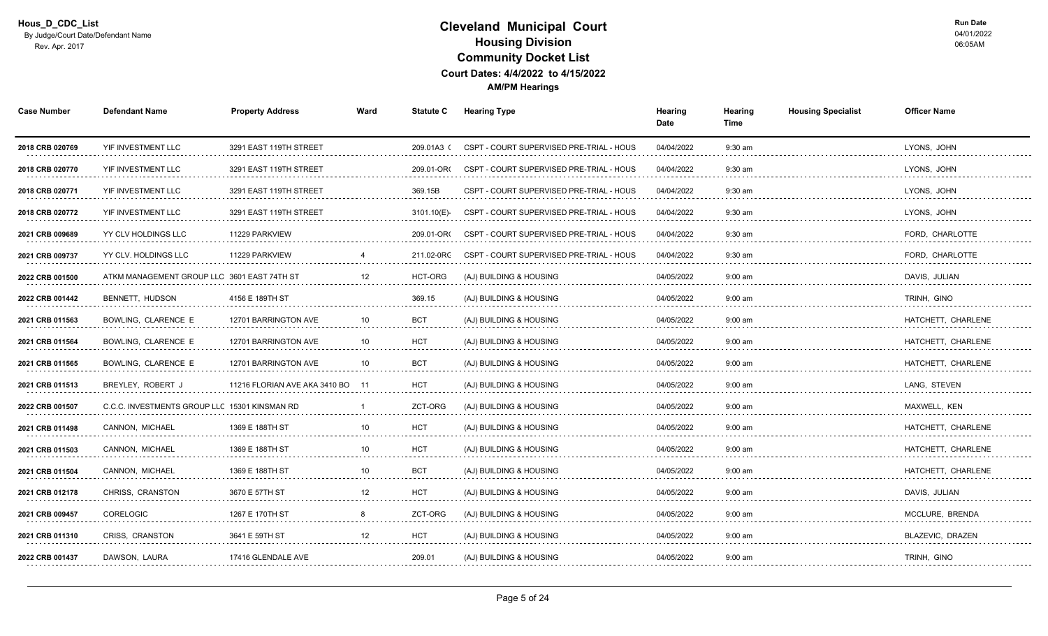| <b>Case Number</b>   | <b>Defendant Name</b>                         | <b>Property Address</b>       | Ward            | <b>Statute C</b> | <b>Hearing Type</b>                      | Hearing<br>Date | Hearing<br>Time | <b>Housing Specialist</b> | <b>Officer Name</b>     |
|----------------------|-----------------------------------------------|-------------------------------|-----------------|------------------|------------------------------------------|-----------------|-----------------|---------------------------|-------------------------|
| 2018 CRB 020769      | YIF INVESTMENT LLC                            | 3291 EAST 119TH STREET        |                 | 209.01A3(        | CSPT - COURT SUPERVISED PRE-TRIAL - HOUS | 04/04/2022      | 9:30 am         |                           | LYONS, JOHN             |
| 2018 CRB 020770      | YIF INVESTMENT LLC<br>.                       | 3291 EAST 119TH STREET        |                 | 209.01-OR        | CSPT - COURT SUPERVISED PRE-TRIAL - HOUS | 04/04/2022<br>. | $9:30$ am<br>.  |                           | LYONS, JOHN<br>.        |
| 2018 CRB 020771      | YIF INVESTMENT LLC                            | 3291 EAST 119TH STREET        |                 | 369.15B          | CSPT - COURT SUPERVISED PRE-TRIAL - HOUS | 04/04/2022      | $9:30$ am       |                           | LYONS, JOHN             |
| 2018 CRB 020772      | YIF INVESTMENT LLC                            | 3291 EAST 119TH STREET        |                 | 3101.10(E)       | CSPT - COURT SUPERVISED PRE-TRIAL - HOUS | 04/04/2022      | $9:30$ am       |                           | LYONS, JOHN             |
| 2021 CRB 009689      | YY CLV HOLDINGS LLC                           | 11229 PARKVIEW                |                 | 209.01-OR        | CSPT - COURT SUPERVISED PRE-TRIAL - HOUS | 04/04/2022      | $9:30$ am       |                           | FORD. CHARLOTTE         |
| 2021 CRB 009737      | YY CLV. HOLDINGS LLC                          | 11229 PARKVIEW                |                 | 211.02-0RC       | CSPT - COURT SUPERVISED PRE-TRIAL - HOUS | 04/04/2022      | $9:30$ am       |                           | FORD, CHARLOTTE         |
| 2022 CRB 001500<br>. | ATKM MANAGEMENT GROUP LLC 3601 EAST 74TH ST   |                               |                 | HCT-ORG          | (AJ) BUILDING & HOUSING                  | 04/05/2022      | $9:00$ am       |                           | DAVIS, JULIAN           |
| 2022 CRB 001442      | BENNETT, HUDSON                               | 4156 E 189TH ST               |                 | 369.15           | (AJ) BUILDING & HOUSING                  | 04/05/2022      | $9:00$ am       |                           | TRINH, GINO             |
| 2021 CRB 011563      | BOWLING, CLARENCE E                           | 12701 BARRINGTON AVE          | 10              | <b>BCT</b>       | (AJ) BUILDING & HOUSING                  | 04/05/2022      | $9:00$ am       |                           | HATCHETT, CHARLENE      |
| 2021 CRB 011564      | BOWLING, CLARENCE E                           | 12701 BARRINGTON AVE          | 10              | <b>HCT</b>       | (AJ) BUILDING & HOUSING                  | 04/05/2022      | $9:00$ am       |                           | HATCHETT, CHARLENE      |
| 2021 CRB 011565<br>. | BOWLING, CLARENCE E                           | 12701 BARRINGTON AVE<br>.     | 10              | <b>BCT</b>       | (AJ) BUILDING & HOUSING                  | 04/05/2022      | $9:00$ am       |                           | HATCHETT, CHARLENE<br>. |
| 2021 CRB 011513      | BREYLEY, ROBERT J                             | 11216 FLORIAN AVE AKA 3410 BO |                 | <b>HCT</b>       | (AJ) BUILDING & HOUSING                  | 04/05/2022      | $9:00$ am       |                           | LANG, STEVEN            |
| 2022 CRB 001507      | C.C.C. INVESTMENTS GROUP LLC 15301 KINSMAN RD |                               |                 | ZCT-ORG          | (AJ) BUILDING & HOUSING                  | 04/05/2022      | $9:00$ am       |                           | MAXWELL, KEN            |
| 2021 CRB 011498      | CANNON, MICHAEL                               | 1369 E 188TH ST               | 10              | <b>HCT</b>       | (AJ) BUILDING & HOUSING                  | 04/05/2022      | $9:00$ am       |                           | HATCHETT, CHARLENE      |
| 2021 CRB 011503<br>. | CANNON, MICHAEL                               | 1369 E 188TH ST<br>.          | 10              | <b>HCT</b>       | (AJ) BUILDING & HOUSING                  | 04/05/2022      | $9:00$ am       |                           | HATCHETT, CHARLENE      |
| 2021 CRB 011504      | CANNON. MICHAEL                               | 1369 E 188TH ST               | 10 <sup>1</sup> | <b>BCT</b>       | (AJ) BUILDING & HOUSING                  | 04/05/2022      | $9:00$ am       |                           | HATCHETT, CHARLENE      |
| 2021 CRB 012178      | CHRISS, CRANSTON                              | 3670 E 57TH ST                | 12              | <b>HCT</b>       | (AJ) BUILDING & HOUSING                  | 04/05/2022      | $9:00$ am       |                           | DAVIS, JULIAN           |
| 2021 CRB 009457      | <b>CORELOGIC</b>                              | 1267 E 170TH ST               | -8              | ZCT-ORG          | (AJ) BUILDING & HOUSING                  | 04/05/2022      | $9:00$ am       |                           | MCCLURE, BRENDA         |
| 2021 CRB 011310<br>. | CRISS, CRANSTON                               | 3641 E 59TH ST                | 12              | <b>HCT</b><br>.  | (AJ) BUILDING & HOUSING                  | 04/05/2022<br>. | $9:00$ am<br>.  |                           | BLAZEVIC, DRAZEN<br>.   |
| 2022 CRB 001437      | DAWSON, LAURA                                 | 17416 GLENDALE AVE            |                 | 209.01           | (AJ) BUILDING & HOUSING                  | 04/05/2022      | $9:00$ am       |                           | TRINH, GINO             |
|                      |                                               |                               |                 |                  |                                          |                 |                 |                           |                         |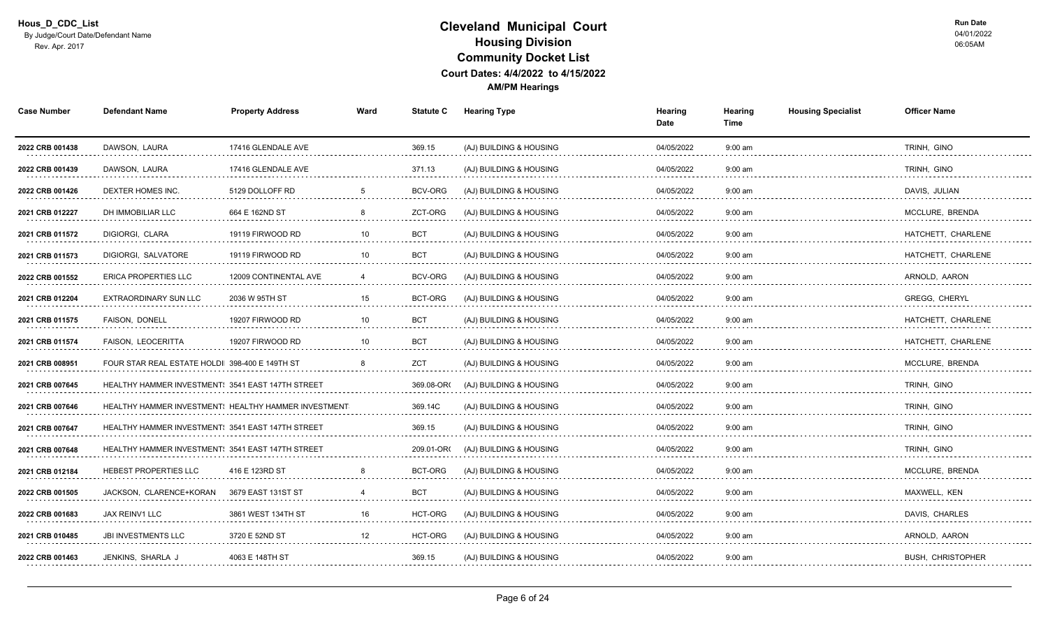| <b>Case Number</b>   | <b>Defendant Name</b>                                    | <b>Property Address</b>                              | Ward            | <b>Statute C</b>               | <b>Hearing Type</b>          | Hearing<br>Date | Hearing<br>Time | <b>Housing Specialist</b> | <b>Officer Name</b>      |
|----------------------|----------------------------------------------------------|------------------------------------------------------|-----------------|--------------------------------|------------------------------|-----------------|-----------------|---------------------------|--------------------------|
| 2022 CRB 001438      | DAWSON, LAURA                                            | 17416 GLENDALE AVE                                   |                 | 369.15                         | (AJ) BUILDING & HOUSING      | 04/05/2022      | $9:00$ am       |                           | TRINH, GINO              |
| 2022 CRB 001439<br>. | DAWSON, LAURA                                            | 17416 GLENDALE AVE                                   |                 | 371.13<br>distance and a state | (AJ) BUILDING & HOUSING      | 04/05/2022<br>. | $9:00$ am       |                           | TRINH, GINO<br>.         |
| 2022 CRB 001426<br>. | DEXTER HOMES INC.                                        | 5129 DOLLOFF RD<br>.                                 |                 | BCV-ORG                        | (AJ) BUILDING & HOUSING<br>. | 04/05/2022      | $9:00$ am       |                           | DAVIS, JULIAN<br>.       |
| 2021 CRB 012227      | DH IMMOBILIAR LLC                                        | 664 E 162ND ST                                       |                 | ZCT-ORG                        | (AJ) BUILDING & HOUSING      | 04/05/2022      | $9:00$ am       |                           | MCCLURE, BRENDA          |
| 2021 CRB 011572      | DIGIORGI, CLARA                                          | 19119 FIRWOOD RD                                     | 10              | <b>BCT</b>                     | (AJ) BUILDING & HOUSING      | 04/05/2022      | $9:00$ am       |                           | HATCHETT, CHARLENE       |
| 2021 CRB 011573      | DIGIORGI, SALVATORE                                      | 19119 FIRWOOD RD                                     | 10              | <b>BCT</b>                     | (AJ) BUILDING & HOUSING      | 04/05/2022      | $9:00$ am       |                           | HATCHETT, CHARLENE       |
| 2022 CRB 001552<br>. | <b>ERICA PROPERTIES LLC</b>                              | 12009 CONTINENTAL AVE                                |                 | BCV-ORG                        | (AJ) BUILDING & HOUSING      | 04/05/2022      | $9:00$ am       |                           | ARNOLD, AARON<br>.       |
| 2021 CRB 012204      | <b>EXTRAORDINARY SUN LLC</b>                             | 2036 W 95TH ST                                       | 15              | <b>BCT-ORG</b>                 | (AJ) BUILDING & HOUSING      | 04/05/2022      | $9:00$ am       |                           | <b>GREGG. CHERYL</b>     |
| 2021 CRB 011575      | FAISON, DONELL                                           | 19207 FIRWOOD RD                                     | 10 <sup>°</sup> | <b>BCT</b>                     | (AJ) BUILDING & HOUSING      | 04/05/2022      | $9:00$ am       |                           | HATCHETT, CHARLENE       |
| 2021 CRB 011574      | <b>FAISON, LEOCERITTA</b>                                | 19207 FIRWOOD RD                                     | 10              | <b>BCT</b>                     | (AJ) BUILDING & HOUSING      | 04/05/2022      | $9:00$ am       |                           | HATCHETT, CHARLENE       |
| 2021 CRB 008951      | FOUR STAR REAL ESTATE HOLDI 398-400 E 149TH ST           |                                                      |                 | <b>ZCT</b>                     | (AJ) BUILDING & HOUSING      | 04/05/2022      | $9:00$ am       |                           | MCCLURE, BRENDA          |
| 2021 CRB 007645      | HEALTHY HAMMER INVESTMENT: 3541 EAST 147TH STREET        |                                                      |                 | 369.08-OR                      | (AJ) BUILDING & HOUSING      | 04/05/2022      | $9:00$ am       |                           | TRINH. GINO              |
| 2021 CRB 007646      |                                                          | HEALTHY HAMMER INVESTMENT! HEALTHY HAMMER INVESTMENT |                 | 369.14C                        | (AJ) BUILDING & HOUSING      | 04/05/2022      | $9:00$ am       |                           | TRINH. GINO              |
| 2021 CRB 007647      | HEALTHY HAMMER INVESTMENT: 3541 EAST 147TH STREET        |                                                      |                 | 369.15                         | (AJ) BUILDING & HOUSING      | 04/05/2022      | $9:00$ am       |                           | TRINH, GINO              |
| 2021 CRB 007648<br>. | <b>HEALTHY HAMMER INVESTMENT: 3541 EAST 147TH STREET</b> |                                                      |                 | 209.01-OR                      | (AJ) BUILDING & HOUSING      | 04/05/2022<br>. | $9:00$ am<br>.  |                           | TRINH, GINO<br>.         |
| 2021 CRB 012184      | HEBEST PROPERTIES LLC                                    | 416 E 123RD ST                                       |                 | BCT-ORG                        | (AJ) BUILDING & HOUSING      | 04/05/2022      | $9:00$ am       |                           | MCCLURE, BRENDA          |
| 2022 CRB 001505      | JACKSON. CLARENCE+KORAN                                  | 3679 EAST 131ST ST                                   |                 | <b>BCT</b>                     | (AJ) BUILDING & HOUSING      | 04/05/2022      | $9:00$ am       |                           | MAXWELL, KEN             |
| 2022 CRB 001683      | JAX REINV1 LLC                                           | 3861 WEST 134TH ST                                   | 16              | HCT-ORG                        | (AJ) BUILDING & HOUSING      | 04/05/2022      | $9:00$ am       |                           | DAVIS, CHARLES           |
| 2021 CRB 010485<br>. | <b>JBI INVESTMENTS LLC</b>                               | 3720 E 52ND ST<br>.                                  | 12              | HCT-ORG                        | (AJ) BUILDING & HOUSING      | 04/05/2022      | $9:00$ am       |                           | ARNOLD, AARON<br>.       |
| 2022 CRB 001463      | JENKINS, SHARLA J                                        | 4063 E 148TH ST                                      |                 | 369.15                         | (AJ) BUILDING & HOUSING      | 04/05/2022      | $9:00$ am       |                           | <b>BUSH, CHRISTOPHER</b> |
|                      |                                                          |                                                      |                 |                                |                              |                 |                 |                           |                          |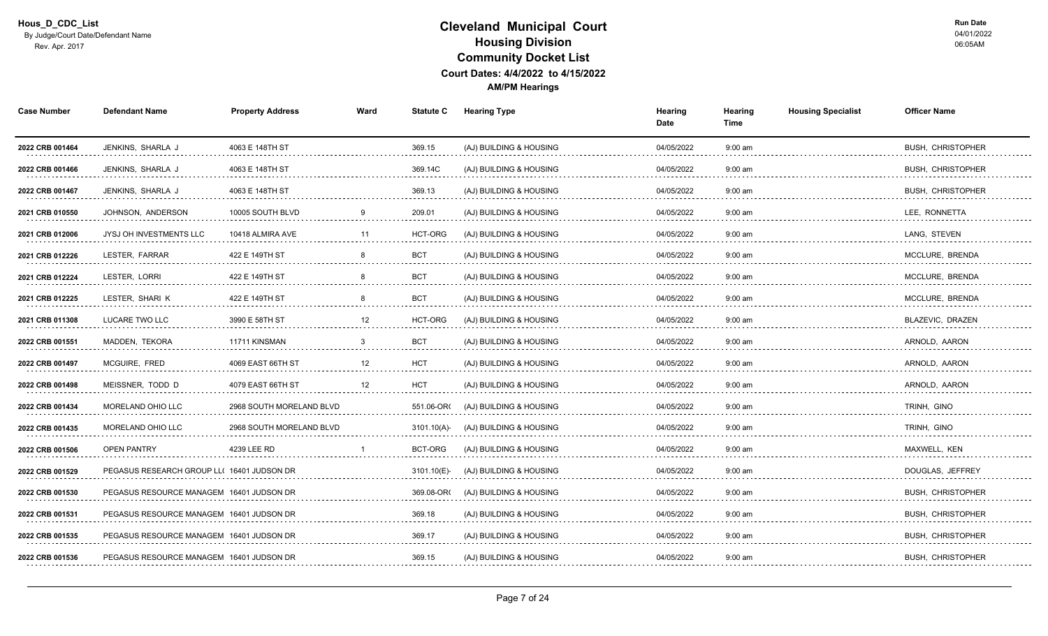| <b>Defendant Name</b>          | <b>Property Address</b>  | Ward                                                                                                                                                                                                                       | <b>Statute C</b> | <b>Hearing Type</b>     | Hearing<br>Date | Hearing<br>Time   | <b>Housing Specialist</b> | <b>Officer Name</b>           |
|--------------------------------|--------------------------|----------------------------------------------------------------------------------------------------------------------------------------------------------------------------------------------------------------------------|------------------|-------------------------|-----------------|-------------------|---------------------------|-------------------------------|
| JENKINS, SHARLA J              | 4063 E 148TH ST          |                                                                                                                                                                                                                            | 369.15           | (AJ) BUILDING & HOUSING | 04/05/2022      | $9:00$ am         |                           | <b>BUSH, CHRISTOPHER</b>      |
| JENKINS, SHARLA J              | 4063 E 148TH ST<br>.     |                                                                                                                                                                                                                            | 369.14C          | (AJ) BUILDING & HOUSING | 04/05/2022      | $9:00$ am         |                           | <b>BUSH, CHRISTOPHER</b>      |
| JENKINS, SHARLA J              | 4063 E 148TH ST<br>.     |                                                                                                                                                                                                                            | 369.13           | (AJ) BUILDING & HOUSING | 04/05/2022      | $9:00$ am<br>.    |                           | <b>BUSH, CHRISTOPHER</b><br>. |
| JOHNSON, ANDERSON              | 10005 SOUTH BLVD         |                                                                                                                                                                                                                            | 209.01           | (AJ) BUILDING & HOUSING | 04/05/2022      | $9:00$ am         |                           | LEE, RONNETTA                 |
| <b>JYSJ OH INVESTMENTS LLC</b> | 10418 ALMIRA AVE         | 11                                                                                                                                                                                                                         | <b>HCT-ORG</b>   | (AJ) BUILDING & HOUSING | 04/05/2022      | $9:00$ am         |                           | LANG, STEVEN                  |
| LESTER, FARRAR                 | 422 E 149TH ST           |                                                                                                                                                                                                                            | <b>BCT</b>       | (AJ) BUILDING & HOUSING | 04/05/2022      | $9:00$ am         |                           | MCCLURE. BRENDA               |
| LESTER. LORRI                  | 422 E 149TH ST           |                                                                                                                                                                                                                            | <b>BCT</b>       | (AJ) BUILDING & HOUSING | 04/05/2022      | $9:00 \text{ am}$ |                           | MCCLURE, BRENDA               |
| LESTER. SHARI K                | 422 E 149TH ST           |                                                                                                                                                                                                                            | <b>BCT</b>       | (AJ) BUILDING & HOUSING | 04/05/2022      | $9:00$ am         |                           | MCCLURE. BRENDA               |
| LUCARE TWO LLC                 | 3990 E 58TH ST           | 12                                                                                                                                                                                                                         | HCT-ORG          | (AJ) BUILDING & HOUSING | 04/05/2022      | $9:00$ am         |                           | BLAZEVIC, DRAZEN              |
| MADDEN, TEKORA                 | 11711 KINSMAN            | 3                                                                                                                                                                                                                          | <b>BCT</b>       | (AJ) BUILDING & HOUSING | 04/05/2022      | $9:00$ am         |                           | ARNOLD, AARON                 |
| MCGUIRE, FRED<br>.             | 4069 EAST 66TH ST        | 12                                                                                                                                                                                                                         | <b>HCT</b><br>.  | (AJ) BUILDING & HOUSING | 04/05/2022<br>. | $9:00$ am<br>.    |                           | ARNOLD, AARON<br>.            |
| MEISSNER, TODD D               | 4079 EAST 66TH ST        | 12                                                                                                                                                                                                                         | <b>HCT</b>       | (AJ) BUILDING & HOUSING | 04/05/2022      | $9:00$ am         |                           | ARNOLD, AARON                 |
| MORELAND OHIO LLC              | 2968 SOUTH MORELAND BLVD |                                                                                                                                                                                                                            | 551.06-OR(       | (AJ) BUILDING & HOUSING | 04/05/2022      | $9:00$ am         |                           | TRINH, GINO                   |
| <b>MORELAND OHIO LLC</b>       | 2968 SOUTH MORELAND BLVD |                                                                                                                                                                                                                            | 3101.10(A)       | (AJ) BUILDING & HOUSING | 04/05/2022      | $9:00$ am         |                           | TRINH, GINO                   |
| <b>OPEN PANTRY</b>             | 4239 LEE RD              |                                                                                                                                                                                                                            | BCT-ORG          | (AJ) BUILDING & HOUSING | 04/05/2022<br>. | $9:00$ am<br>.    |                           | MAXWELL, KEN<br>.             |
|                                |                          |                                                                                                                                                                                                                            | 3101.10(E)       | (AJ) BUILDING & HOUSING | 04/05/2022      | $9:00$ am         |                           | DOUGLAS, JEFFREY              |
|                                |                          |                                                                                                                                                                                                                            | 369.08-OR        | (AJ) BUILDING & HOUSING | 04/05/2022      | $9:00 \text{ am}$ |                           | <b>BUSH. CHRISTOPHER</b>      |
|                                |                          |                                                                                                                                                                                                                            | 369.18           | (AJ) BUILDING & HOUSING | 04/05/2022      | $9:00$ am         |                           | <b>BUSH, CHRISTOPHER</b>      |
|                                |                          |                                                                                                                                                                                                                            | 369.17<br>.      | (AJ) BUILDING & HOUSING | 04/05/2022<br>. | $9:00$ am<br>.    |                           | <b>BUSH, CHRISTOPHER</b><br>. |
|                                |                          |                                                                                                                                                                                                                            | 369.15           | (AJ) BUILDING & HOUSING | 04/05/2022      | $9:00$ am         |                           | <b>BUSH, CHRISTOPHER</b>      |
|                                |                          | PEGASUS RESEARCH GROUP LL( 16401 JUDSON DR<br>PEGASUS RESOURCE MANAGEM 16401 JUDSON DR<br>PEGASUS RESOURCE MANAGEM 16401 JUDSON DR<br>PEGASUS RESOURCE MANAGEM 16401 JUDSON DR<br>PEGASUS RESOURCE MANAGEM 16401 JUDSON DR | .                |                         |                 |                   |                           |                               |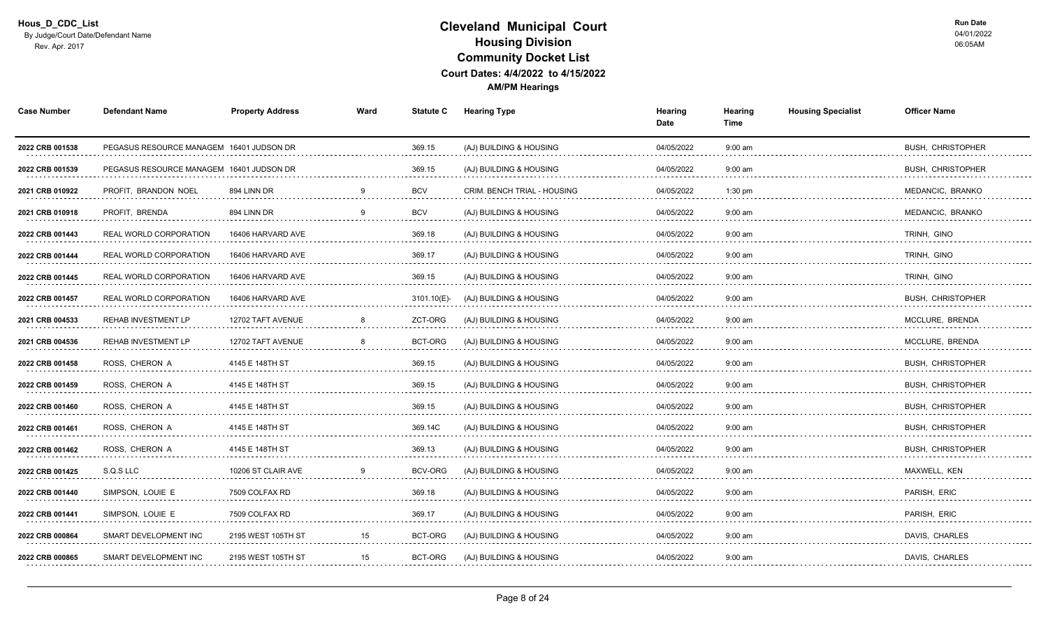| <b>Case Number</b>   | <b>Defendant Name</b>                    | <b>Property Address</b>         | Ward     | <b>Statute C</b> | <b>Hearing Type</b>                | Hearing<br>Date | <b>Housing Specialist</b><br>Hearing<br>Time | <b>Officer Name</b>           |
|----------------------|------------------------------------------|---------------------------------|----------|------------------|------------------------------------|-----------------|----------------------------------------------|-------------------------------|
| 2022 CRB 001538      | PEGASUS RESOURCE MANAGEM 16401 JUDSON DR |                                 |          | 369.15           | (AJ) BUILDING & HOUSING            | 04/05/2022      | $9:00$ am                                    | <b>BUSH, CHRISTOPHER</b>      |
| 2022 CRB 001539      | PEGASUS RESOURCE MANAGEM 16401 JUDSON DR |                                 |          | 369.15<br>.      | (AJ) BUILDING & HOUSING            | 04/05/2022      | $9:00$ am<br>.                               | <b>BUSH, CHRISTOPHER</b>      |
| 2021 CRB 010922<br>. | PROFIT, BRANDON NOEL                     | 894 LINN DR<br>.                |          | <b>BCV</b>       | <b>CRIM. BENCH TRIAL - HOUSING</b> | 04/05/2022      | $1:30$ pm<br>.                               | MEDANCIC, BRANKO<br>.         |
| 2021 CRB 010918      | PROFIT, BRENDA                           | 894 LINN DR                     | <b>q</b> | <b>BCV</b>       | (AJ) BUILDING & HOUSING            | 04/05/2022      | $9:00$ am                                    | MEDANCIC, BRANKO              |
| 2022 CRB 001443      | REAL WORLD CORPORATION                   | 16406 HARVARD AVE               |          | 369.18           | (AJ) BUILDING & HOUSING            | 04/05/2022      | $9:00$ am                                    | TRINH, GINO                   |
| 2022 CRB 001444      | REAL WORLD CORPORATION                   | 16406 HARVARD AVE               |          | 369.17<br>.      | (AJ) BUILDING & HOUSING            | 04/05/2022<br>. | $9:00$ am<br>.                               | TRINH, GINO<br>.              |
| 2022 CRB 001445<br>. | <b>REAL WORLD CORPORATION</b>            | 16406 HARVARD AVE<br>.          |          | 369.15           | (AJ) BUILDING & HOUSING            | 04/05/2022      | $9:00$ am                                    | TRINH, GINO                   |
| 2022 CRB 001457      | REAL WORLD CORPORATION                   | 16406 HARVARD AVE               |          | 3101.10(E)       | (AJ) BUILDING & HOUSING            | 04/05/2022      | $9:00$ am                                    | <b>BUSH. CHRISTOPHER</b>      |
| 2021 CRB 004533      | REHAB INVESTMENT LP                      | 12702 TAFT AVENUE               |          | ZCT-ORG          | (AJ) BUILDING & HOUSING            | 04/05/2022      | $9:00$ am                                    | MCCLURE, BRENDA               |
| 2021 CRB 004536      | <b>REHAB INVESTMENT LP</b>               | 12702 TAFT AVENUE               | 8        | BCT-ORG          | (AJ) BUILDING & HOUSING            | 04/05/2022      | $9:00$ am                                    | MCCLURE, BRENDA               |
| 2022 CRB 001458<br>. | ROSS, CHERON A<br>.                      | 4145 E 148TH ST<br>. <b>.</b> . |          | 369.15           | (AJ) BUILDING & HOUSING            | 04/05/2022<br>. | $9:00$ am<br>.                               | <b>BUSH. CHRISTOPHER</b><br>. |
| 2022 CRB 001459      | ROSS. CHERON A                           | 4145 E 148TH ST                 |          | 369.15           | (AJ) BUILDING & HOUSING            | 04/05/2022      | $9:00$ am                                    | <b>BUSH, CHRISTOPHER</b>      |
| 2022 CRB 001460      | ROSS. CHERON A                           | 4145 E 148TH ST                 |          | 369.15           | (AJ) BUILDING & HOUSING            | 04/05/2022      | $9:00$ am                                    | <b>BUSH. CHRISTOPHER</b>      |
| 2022 CRB 001461      | ROSS, CHERON A                           | 4145 E 148TH ST                 |          | 369.14C          | (AJ) BUILDING & HOUSING            | 04/05/2022      | $9:00$ am                                    | <b>BUSH, CHRISTOPHER</b>      |
| 2022 CRB 001462<br>. | ROSS, CHERON A                           | 4145 E 148TH ST<br>.            |          | 369.13           | (AJ) BUILDING & HOUSING            | 04/05/2022      | $9:00$ am                                    | <b>BUSH, CHRISTOPHER</b><br>. |
| 2022 CRB 001425      | S.Q.S LLC                                | 10206 ST CLAIR AVE              |          | <b>BCV-ORG</b>   | (AJ) BUILDING & HOUSING            | 04/05/2022      | $9:00$ am                                    | MAXWELL, KEN                  |
| 2022 CRB 001440<br>. | SIMPSON, LOUIE E                         | 7509 COLFAX RD                  |          | 369.18           | (AJ) BUILDING & HOUSING            | 04/05/2022      | $9:00$ am                                    | PARISH, ERIC                  |
| 2022 CRB 001441      | SIMPSON, LOUIE E                         | 7509 COLFAX RD                  |          | 369.17           | (AJ) BUILDING & HOUSING            | 04/05/2022      | $9:00$ am                                    | PARISH, ERIC                  |
| 2022 CRB 000864<br>. | SMART DEVELOPMENT INC                    | 2195 WEST 105TH ST              | 15       | BCT-ORG          | (AJ) BUILDING & HOUSING            | 04/05/2022      | $9:00$ am                                    | DAVIS, CHARLES<br>.           |
| 2022 CRB 000865      | SMART DEVELOPMENT INC                    | 2195 WEST 105TH ST              | 15       | BCT-ORG          | (AJ) BUILDING & HOUSING            | 04/05/2022      | $9:00$ am                                    | DAVIS, CHARLES                |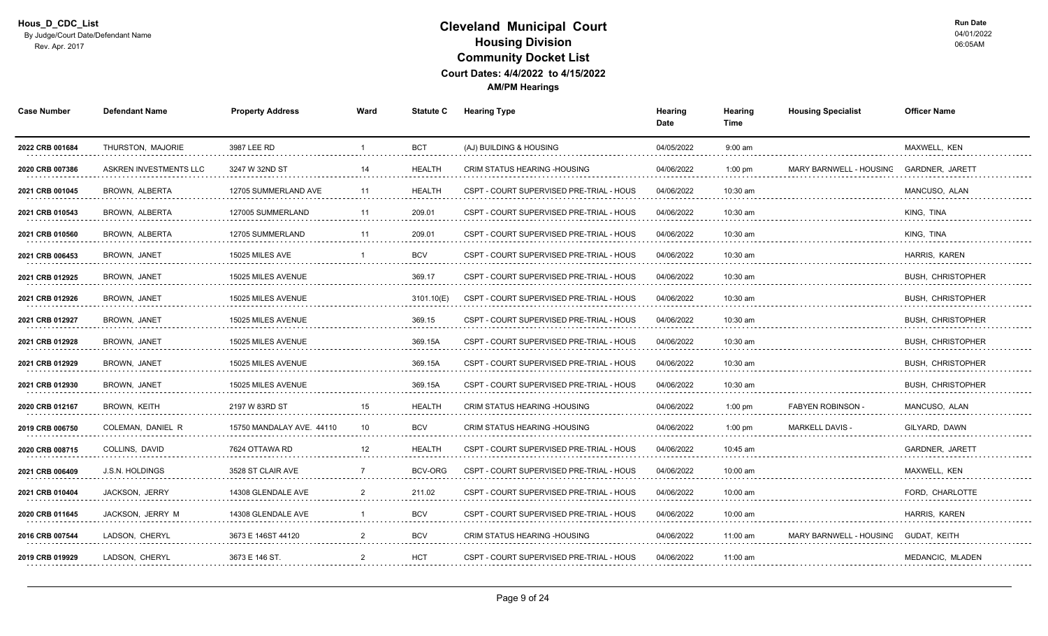| <b>Case Number</b>   | <b>Defendant Name</b>    | <b>Property Address</b>   | Ward            | <b>Statute C</b>   | <b>Hearing Type</b>                      | Hearing<br>Date | Hearing<br>Time | <b>Housing Specialist</b> | <b>Officer Name</b>      |
|----------------------|--------------------------|---------------------------|-----------------|--------------------|------------------------------------------|-----------------|-----------------|---------------------------|--------------------------|
| 2022 CRB 001684      | THURSTON, MAJORIE        | 3987 LEE RD               |                 | <b>BCT</b>         | (AJ) BUILDING & HOUSING                  | 04/05/2022      | $9:00$ am       |                           | MAXWELL, KEN             |
| 2020 CRB 007386      | ASKREN INVESTMENTS LLC   | 3247 W 32ND ST            | 14              | <b>HEALTH</b>      | <b>CRIM STATUS HEARING -HOUSING</b>      | 04/06/2022      | $1:00$ pm       | MARY BARNWELL - HOUSING   | GARDNER, JARETT          |
| 2021 CRB 001045      | BROWN, ALBERTA           | 12705 SUMMERLAND AVE      | 11              | <b>HEALTH</b>      | CSPT - COURT SUPERVISED PRE-TRIAL - HOUS | 04/06/2022      | 10:30 am        |                           | MANCUSO, ALAN            |
| 2021 CRB 010543<br>. | BROWN, ALBERTA<br>.      | 127005 SUMMERLAND         |                 | 209.01<br>.        | CSPT - COURT SUPERVISED PRE-TRIAL - HOUS | 04/06/2022      | 10:30 am        |                           | KING, TINA               |
| 2021 CRB 010560      | BROWN, ALBERTA           | 12705 SUMMERLAND          | 11              | 209.01             | CSPT - COURT SUPERVISED PRE-TRIAL - HOUS | 04/06/2022      | 10:30 am        |                           | KING, TINA               |
| 2021 CRB 006453      | BROWN, JANET             | 15025 MILES AVE           |                 | <b>BCV</b>         | CSPT - COURT SUPERVISED PRE-TRIAL - HOUS | 04/06/2022      | 10:30 am        |                           | HARRIS, KAREN            |
| 2021 CRB 012925<br>. | <b>BROWN, JANET</b><br>. | 15025 MILES AVENUE        |                 | 369.17             | CSPT - COURT SUPERVISED PRE-TRIAL - HOUS | 04/06/2022<br>. | 10:30 am<br>.   |                           | <b>BUSH. CHRISTOPHER</b> |
| 2021 CRB 012926      | BROWN, JANET             | 15025 MILES AVENUE        |                 | 3101.10(E)         | CSPT - COURT SUPERVISED PRE-TRIAL - HOUS | 04/06/2022      | 10:30 am        |                           | <b>BUSH, CHRISTOPHER</b> |
| 2021 CRB 012927      | BROWN, JANET             | 15025 MILES AVENUE        |                 | 369.15             | CSPT - COURT SUPERVISED PRE-TRIAL - HOUS | 04/06/2022      | 10:30 am        |                           | <b>BUSH, CHRISTOPHER</b> |
| 2021 CRB 012928      | <b>BROWN, JANET</b>      | 15025 MILES AVENUE        |                 | 369.15A            | CSPT - COURT SUPERVISED PRE-TRIAL - HOUS | 04/06/2022      | 10:30 am        |                           | <b>BUSH. CHRISTOPHER</b> |
| 2021 CRB 012929      | BROWN, JANET             | 15025 MILES AVENUE        |                 | 369.15A            | CSPT - COURT SUPERVISED PRE-TRIAL - HOUS | 04/06/2022      | 10:30 am        |                           | <b>BUSH, CHRISTOPHER</b> |
| 2021 CRB 012930      | <b>BROWN, JANET</b>      | 15025 MILES AVENUE        |                 | 369.15A            | CSPT - COURT SUPERVISED PRE-TRIAL - HOUS | 04/06/2022      | 10:30 am        |                           | <b>BUSH, CHRISTOPHER</b> |
| 2020 CRB 012167      | BROWN, KEITH             | 2197 W 83RD ST            | 15              | <b>HEALTH</b>      | CRIM STATUS HEARING -HOUSING             | 04/06/2022      | $1:00$ pm       | <b>FABYEN ROBINSON</b>    | MANCUSO, ALAN            |
| 2019 CRB 006750      | COLEMAN, DANIEL R        | 15750 MANDALAY AVE. 44110 | 10 <sup>1</sup> | <b>BCV</b>         | <b>CRIM STATUS HEARING -HOUSING</b>      | 04/06/2022      | $1:00$ pm       | <b>MARKELL DAVIS -</b>    | GILYARD, DAWN            |
| 2020 CRB 008715<br>. | COLLINS, DAVID<br>.      | 7624 OTTAWA RD            | 12              | <b>HEALTH</b><br>. | CSPT - COURT SUPERVISED PRE-TRIAL - HOUS | 04/06/2022<br>. | 10:45 am<br>.   |                           | GARDNER, JARETT<br>.     |
| 2021 CRB 006409      | <b>J.S.N. HOLDINGS</b>   | 3528 ST CLAIR AVE         |                 | BCV-ORG            | CSPT - COURT SUPERVISED PRE-TRIAL - HOUS | 04/06/2022      | 10:00 am        |                           | MAXWELL, KEN             |
| 2021 CRB 010404      | JACKSON, JERRY           | 14308 GLENDALE AVE        | $\mathcal{P}$   | 211.02             | CSPT - COURT SUPERVISED PRE-TRIAL - HOUS | 04/06/2022      | 10:00 am        |                           | FORD. CHARLOTTE          |
| 2020 CRB 011645      | JACKSON, JERRY M         | 14308 GLENDALE AVE        |                 | <b>BCV</b>         | CSPT - COURT SUPERVISED PRE-TRIAL - HOUS | 04/06/2022      | 10:00 am        |                           | HARRIS, KAREN            |
| 2016 CRB 007544<br>. | LADSON, CHERYL<br>.      | 3673 E 146ST 44120        |                 | <b>BCV</b>         | CRIM STATUS HEARING - HOUSING            | 04/06/2022<br>. | 11:00 am        | MARY BARNWELL - HOUSING   | GUDAT, KEITH<br>.        |
| 2019 CRB 019929      | LADSON, CHERYL           | 3673 E 146 ST.            | 2               | <b>HCT</b>         | CSPT - COURT SUPERVISED PRE-TRIAL - HOUS | 04/06/2022      | 11:00 am        |                           | MEDANCIC, MLADEN         |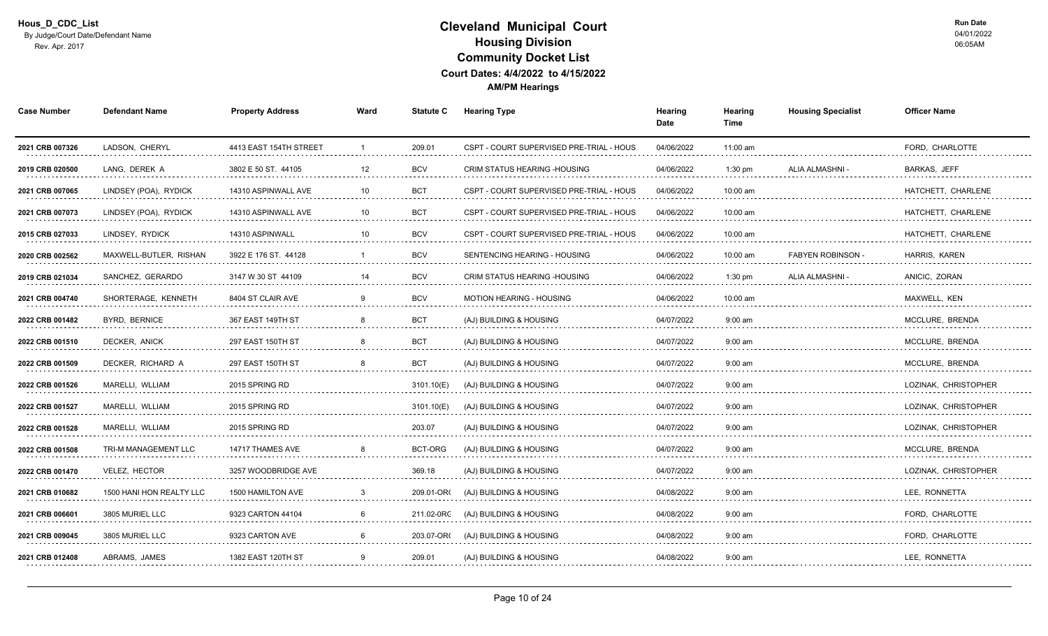| <b>Case Number</b>   | <b>Defendant Name</b>    | <b>Property Address</b> | Ward    | <b>Statute C</b> | Hearing Type                             | Hearing<br>Date | Hearing<br>Time | <b>Housing Specialist</b> | <b>Officer Name</b>      |
|----------------------|--------------------------|-------------------------|---------|------------------|------------------------------------------|-----------------|-----------------|---------------------------|--------------------------|
| 2021 CRB 007326      | LADSON, CHERYL           | 4413 EAST 154TH STREET  | -1      | 209.01           | CSPT - COURT SUPERVISED PRE-TRIAL - HOUS | 04/06/2022      | 11:00 am        |                           | FORD, CHARLOTTE          |
| 2019 CRB 020500      | LANG, DEREK A            | 3802 E 50 ST. 44105     | 12<br>. | <b>BCV</b><br>.  | CRIM STATUS HEARING - HOUSING            | 04/06/2022      | $1:30$ pm       | ALIA ALMASHNI             | <b>BARKAS, JEFF</b><br>. |
| 2021 CRB 007065<br>. | LINDSEY (POA), RYDICK    | 14310 ASPINWALL AVE     | 10      | <b>BCT</b>       | CSPT - COURT SUPERVISED PRE-TRIAL - HOUS | 04/06/2022<br>. | 10:00 am        |                           | HATCHETT, CHARLENE<br>.  |
| 2021 CRB 007073      | LINDSEY (POA), RYDICK    | 14310 ASPINWALL AVE     | 10      | <b>BCT</b>       | CSPT - COURT SUPERVISED PRE-TRIAL - HOUS | 04/06/2022      | 10:00 am        |                           | HATCHETT, CHARLENE       |
| 2015 CRB 027033      | LINDSEY, RYDICK          | 14310 ASPINWALL         | 10      | <b>BCV</b>       | CSPT - COURT SUPERVISED PRE-TRIAL - HOUS | 04/06/2022      | 10:00 am        |                           | HATCHETT. CHARLENE       |
| 2020 CRB 002562      | MAXWELL-BUTLER, RISHAN   | 3922 E 176 ST. 44128    |         | <b>BCV</b>       | SENTENCING HEARING - HOUSING             | 04/06/2022      | 10:00 am        | <b>FABYEN ROBINSON</b>    | HARRIS, KAREN            |
| 2019 CRB 021034      | SANCHEZ, GERARDO         | 3147 W 30 ST 44109      | 14      | <b>BCV</b>       | CRIM STATUS HEARING - HOUSING            | 04/06/2022      | $1:30$ pm       | ALIA ALMASHNI             | ANICIC, ZORAN            |
| 2021 CRB 004740      | SHORTERAGE. KENNETH      | 8404 ST CLAIR AVE       |         | <b>BCV</b>       | <b>MOTION HEARING - HOUSING</b>          | 04/06/2022      | 10:00 am        |                           | MAXWELL, KEN             |
| 2022 CRB 001482      | BYRD, BERNICE            | 367 EAST 149TH ST       | 8       | <b>BCT</b>       | (AJ) BUILDING & HOUSING                  | 04/07/2022      | $9:00$ am       |                           | MCCLURE, BRENDA          |
| 2022 CRB 001510      | DECKER, ANICK            | 297 EAST 150TH ST       | 8       | <b>BCT</b>       | (AJ) BUILDING & HOUSING                  | 04/07/2022      | $9:00$ am       |                           | MCCLURE. BRENDA          |
| 2022 CRB 001509<br>. | DECKER. RICHARD A        | 297 EAST 150TH ST       |         | <b>BCT</b>       | (AJ) BUILDING & HOUSING                  | 04/07/2022<br>. | $9:00$ am       |                           | MCCLURE, BRENDA<br>.     |
| 2022 CRB 001526      | MARELLI, WLLIAM          | 2015 SPRING RD          |         | 3101.10(E)       | (AJ) BUILDING & HOUSING                  | 04/07/2022      | $9:00$ am       |                           | LOZINAK, CHRISTOPHER     |
| 2022 CRB 001527      | MARELLI, WLLIAM          | 2015 SPRING RD          |         | 3101.10(E)       | (AJ) BUILDING & HOUSING                  | 04/07/2022      | $9:00$ am       |                           | LOZINAK, CHRISTOPHER     |
| 2022 CRB 001528      | MARELLI, WLLIAM          | 2015 SPRING RD          |         | 203.07           | (AJ) BUILDING & HOUSING                  | 04/07/2022      | $9:00$ am       |                           | LOZINAK, CHRISTOPHER     |
| 2022 CRB 001508<br>. | TRI-M MANAGEMENT LLC     | 14717 THAMES AVE<br>.   |         | BCT-ORG          | (AJ) BUILDING & HOUSING                  | 04/07/2022      | $9:00$ am       |                           | MCCLURE, BRENDA<br>.     |
| 2022 CRB 001470      | <b>VELEZ. HECTOR</b>     | 3257 WOODBRIDGE AVE     |         | 369.18           | (AJ) BUILDING & HOUSING                  | 04/07/2022      | $9:00$ am       |                           | LOZINAK. CHRISTOPHEF     |
| 2021 CRB 010682      | 1500 HANI HON REALTY LLC | 1500 HAMILTON AVE       |         | 209.01-OR        | (AJ) BUILDING & HOUSING                  | 04/08/2022      | $9:00$ am       |                           | LEE. RONNETTA            |
| 2021 CRB 006601      | 3805 MURIEL LLC          | 9323 CARTON 44104       | -6      | 211.02-0RC       | (AJ) BUILDING & HOUSING                  | 04/08/2022      | $9:00$ am       |                           | FORD. CHARLOTTE          |
| 2021 CRB 009045<br>. | 3805 MURIEL LLC          | 9323 CARTON AVE         |         | 203.07-OR(       | (AJ) BUILDING & HOUSING                  | 04/08/2022<br>. | $9:00$ am<br>.  |                           | FORD, CHARLOTTE<br>.     |
| 2021 CRB 012408      | ABRAMS, JAMES            | 1382 EAST 120TH ST      |         | 209.01           | (AJ) BUILDING & HOUSING                  | 04/08/2022      | $9:00$ am       |                           | LEE, RONNETTA            |
|                      |                          |                         |         |                  |                                          |                 |                 |                           |                          |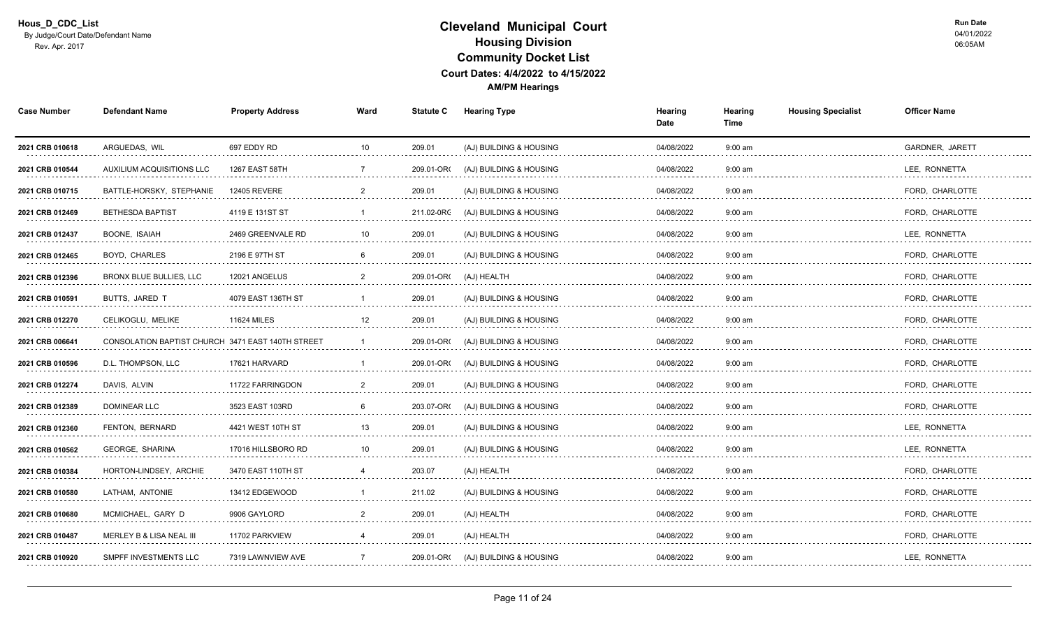| <b>Case Number</b>   | <b>Defendant Name</b>                             | <b>Property Address</b>  | Ward            | <b>Statute C</b> | <b>Hearing Type</b>                | Hearing<br>Date | Hearing<br>Time | <b>Housing Specialist</b> | <b>Officer Name</b>  |
|----------------------|---------------------------------------------------|--------------------------|-----------------|------------------|------------------------------------|-----------------|-----------------|---------------------------|----------------------|
| 2021 CRB 010618      | ARGUEDAS, WIL                                     | 697 EDDY RD              | 10 <sup>°</sup> | 209.01           | (AJ) BUILDING & HOUSING            | 04/08/2022      | $9:00$ am       |                           | GARDNER, JARETT      |
| 2021 CRB 010544      | AUXILIUM ACQUISITIONS LLC                         | 1267 EAST 58TH           |                 | 209.01-OR        | (AJ) BUILDING & HOUSING            | 04/08/2022      | $9:00$ am       |                           | LEE, RONNETTA        |
| 2021 CRB 010715      | BATTLE-HORSKY, STEPHANIE                          | <b>12405 REVERE</b><br>. |                 | 209.01           | (AJ) BUILDING & HOUSING            | 04/08/2022      | $9:00$ am       |                           | FORD, CHARLOTTE<br>. |
| 2021 CRB 012469      | <b>BETHESDA BAPTIST</b>                           | 4119 E 131ST ST          |                 | 211.02-0RC       | (AJ) BUILDING & HOUSING            | 04/08/2022      | $9:00$ am       |                           | FORD, CHARLOTTE      |
| 2021 CRB 012437<br>. | BOONE, ISAIAH                                     | 2469 GREENVALE RD        | 10              | 209.01           | (AJ) BUILDING & HOUSING            | 04/08/2022      | $9:00$ am       |                           | LEE, RONNETTA        |
| 2021 CRB 012465      | BOYD, CHARLES                                     | 2196 E 97TH ST           | 6               | 209.01           | (AJ) BUILDING & HOUSING            | 04/08/2022      | $9:00$ am       |                           | FORD, CHARLOTTE      |
| 2021 CRB 012396<br>. | BRONX BLUE BULLIES, LLC                           | 12021 ANGELUS            |                 | 209.01-OR(       | (AJ) HEALTH                        | 04/08/2022<br>. | $9:00$ am       |                           | FORD, CHARLOTTE<br>. |
| 2021 CRB 010591      | <b>BUTTS, JARED T</b>                             | 4079 EAST 136TH ST       |                 | 209.01           | (AJ) BUILDING & HOUSING            | 04/08/2022      | $9:00$ am       |                           | FORD, CHARLOTTE      |
| 2021 CRB 012270      | CELIKOGLU, MELIKE                                 | <b>11624 MILES</b>       | 12              | 209.01           | (AJ) BUILDING & HOUSING            | 04/08/2022      | $9:00$ am       |                           | FORD, CHARLOTTE      |
| 2021 CRB 006641      | CONSOLATION BAPTIST CHURCH 3471 EAST 140TH STREET |                          |                 | 209.01-OR        | (AJ) BUILDING & HOUSING            | 04/08/2022      | $9:00$ am       |                           | FORD, CHARLOTTE      |
| 2021 CRB 010596<br>. | D.L. THOMPSON, LLC                                | 17621 HARVARD            |                 | 209.01-OR        | (AJ) BUILDING & HOUSING            | 04/08/2022<br>. | $9:00$ am<br>.  |                           | FORD, CHARLOTTE      |
| 2021 CRB 012274      | DAVIS, ALVIN                                      | 11722 FARRINGDON         |                 | 209.01           | (AJ) BUILDING & HOUSING            | 04/08/2022      | $9:00$ am       |                           | FORD, CHARLOTTE      |
| 2021 CRB 012389      | <b>DOMINEAR LLC</b>                               | 3523 EAST 103RD          |                 | 203.07-OR        | (AJ) BUILDING & HOUSING            | 04/08/2022      | $9:00$ am       |                           | FORD. CHARLOTTE      |
| 2021 CRB 012360      | <b>FENTON, BERNARD</b>                            | 4421 WEST 10TH ST        | 13              | 209.01           | (AJ) BUILDING & HOUSING            | 04/08/2022      | $9:00$ am       |                           | LEE. RONNETTA        |
| 2021 CRB 010562<br>. | <b>GEORGE, SHARINA</b>                            | 17016 HILLSBORO RD       | 10              | 209.01           | (AJ) BUILDING & HOUSING            | 04/08/2022      | $9:00$ am       |                           | LEE, RONNETTA<br>.   |
| 2021 CRB 010384      | HORTON-LINDSEY, ARCHIE                            | 3470 EAST 110TH ST       |                 | 203.07           | (AJ) HEALTH                        | 04/08/2022      | $9:00$ am       |                           | FORD, CHARLOTTE      |
| 2021 CRB 010580      | LATHAM. ANTONIE                                   | 13412 EDGEWOOD           |                 | 211.02           | (AJ) BUILDING & HOUSING            | 04/08/2022      | $9:00$ am       |                           | FORD. CHARLOTTE      |
| 2021 CRB 010680      | MCMICHAEL, GARY D                                 | 9906 GAYLORD             |                 | 209.01           | (AJ) HEALTH                        | 04/08/2022      | $9:00$ am       |                           | FORD, CHARLOTTE      |
| 2021 CRB 010487      | MERLEY B & LISA NEAL III                          | 11702 PARKVIEW<br>.      |                 | 209.01           | (AJ) HEALTH                        | 04/08/2022      | $9:00$ am       |                           | FORD, CHARLOTTE      |
| 2021 CRB 010920      | SMPFF INVESTMENTS LLC                             | 7319 LAWNVIEW AVE        | 7               |                  | 209.01-OR( (AJ) BUILDING & HOUSING | 04/08/2022      | $9:00$ am       |                           | LEE, RONNETTA        |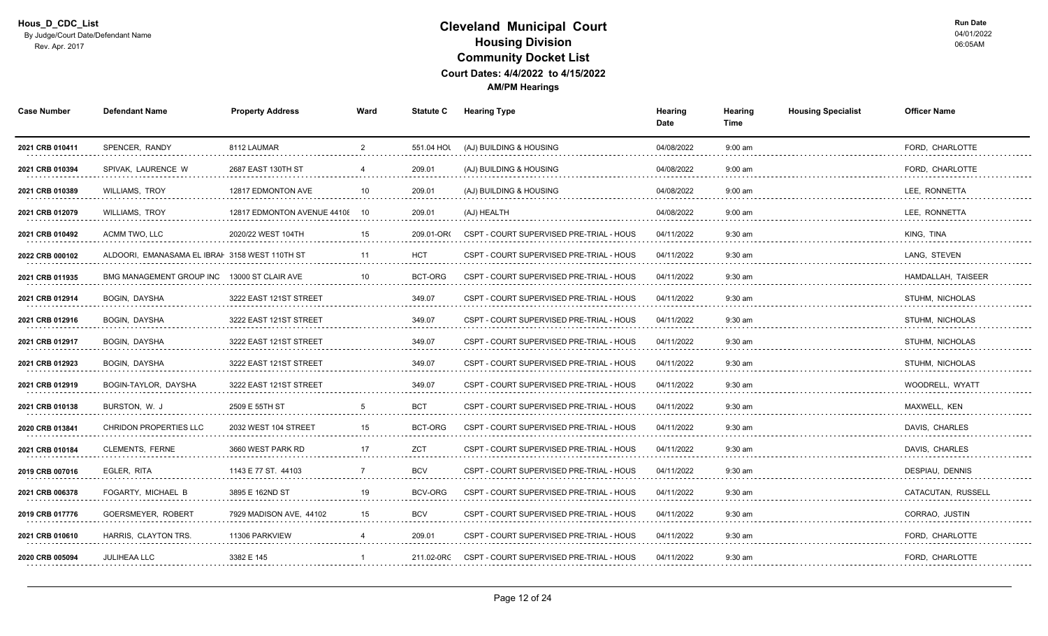| <b>Case Number</b>   | <b>Defendant Name</b>                          | <b>Property Address</b>     | Ward           | <b>Statute C</b> | <b>Hearing Type</b>                      | Hearing<br>Date | Hearing<br>Time | <b>Housing Specialist</b> | <b>Officer Name</b>     |
|----------------------|------------------------------------------------|-----------------------------|----------------|------------------|------------------------------------------|-----------------|-----------------|---------------------------|-------------------------|
| 2021 CRB 010411      | SPENCER, RANDY                                 | 8112 LAUMAR                 | $\overline{2}$ | 551.04 HOL       | (AJ) BUILDING & HOUSING                  | 04/08/2022      | $9:00$ am       |                           | FORD, CHARLOTTE         |
| 2021 CRB 010394<br>. | SPIVAK, LAURENCE W                             | 2687 EAST 130TH ST          |                | 209.01<br>.      | (AJ) BUILDING & HOUSING                  | 04/08/2022<br>. | $9:00$ am       |                           | FORD, CHARLOTTE<br>.    |
| 2021 CRB 010389      | <b>WILLIAMS, TROY</b>                          | 12817 EDMONTON AVE<br>.     | 10             | 209.01           | (AJ) BUILDING & HOUSING                  | 04/08/2022      | $9:00$ am       |                           | LEE, RONNETTA           |
| 2021 CRB 012079      | <b>WILLIAMS, TROY</b>                          | 12817 EDMONTON AVENUE 44108 | 10             | 209.01           | (AJ) HEALTH                              | 04/08/2022      | $9:00$ am       |                           | LEE. RONNETTA           |
| 2021 CRB 010492      | ACMM TWO. LLC                                  | 2020/22 WEST 104TH          | 15             | 209.01-OR        | CSPT - COURT SUPERVISED PRE-TRIAL - HOUS | 04/11/2022      | $9:30$ am       |                           | KING, TINA              |
| 2022 CRB 000102      | ALDOORI, EMANASAMA EL IBRAI 3158 WEST 110TH ST |                             | 11             | <b>HCT</b>       | CSPT - COURT SUPERVISED PRE-TRIAL - HOUS | 04/11/2022      | $9:30$ am       |                           | LANG, STEVEN            |
| 2021 CRB 011935<br>. | <b>BMG MANAGEMENT GROUP INC</b>                | 13000 ST CLAIR AVE          |                | BCT-ORG          | CSPT - COURT SUPERVISED PRE-TRIAL - HOUS | 04/11/2022      | 9:30 am         |                           | HAMDALLAH, TAISEER<br>. |
| 2021 CRB 012914      | <b>BOGIN, DAYSHA</b>                           | 3222 EAST 121ST STREET      |                | 349.07           | CSPT - COURT SUPERVISED PRE-TRIAL - HOUS | 04/11/2022      | $9:30$ am       |                           | STUHM, NICHOLAS         |
| 2021 CRB 012916      | BOGIN, DAYSHA                                  | 3222 EAST 121ST STREET      |                | 349.07           | CSPT - COURT SUPERVISED PRE-TRIAL - HOUS | 04/11/2022      | $9:30$ am       |                           | STUHM, NICHOLAS         |
| 2021 CRB 012917      | BOGIN, DAYSHA                                  | 3222 EAST 121ST STREET      |                | 349.07           | CSPT - COURT SUPERVISED PRE-TRIAL - HOUS | 04/11/2022      | $9:30$ am       |                           | STUHM. NICHOLAS         |
| 2021 CRB 012923<br>. | BOGIN, DAYSHA                                  | 3222 EAST 121ST STREET<br>. |                | 349.07           | CSPT - COURT SUPERVISED PRE-TRIAL - HOUS | 04/11/2022      | $9:30$ am       |                           | STUHM. NICHOLAS<br>.    |
| 2021 CRB 012919      | BOGIN-TAYLOR, DAYSHA                           | 3222 EAST 121ST STREET      |                | 349.07           | CSPT - COURT SUPERVISED PRE-TRIAL - HOUS | 04/11/2022      | $9:30$ am       |                           | WOODRELL, WYATT         |
| 2021 CRB 010138      | BURSTON, W. J                                  | 2509 E 55TH ST              |                | <b>BCT</b>       | CSPT - COURT SUPERVISED PRE-TRIAL - HOUS | 04/11/2022      | $9:30$ am       |                           | MAXWELL, KEN            |
| 2020 CRB 013841      | <b>CHRIDON PROPERTIES LLC</b>                  | 2032 WEST 104 STREET        | 15             | BCT-ORG          | CSPT - COURT SUPERVISED PRE-TRIAL - HOUS | 04/11/2022      | $9:30$ am       |                           | DAVIS, CHARLES          |
| 2021 CRB 010184      | CLEMENTS, FERNE                                | 3660 WEST PARK RD<br>.      | 17             | ZCT              | CSPT - COURT SUPERVISED PRE-TRIAL - HOUS | 04/11/2022      | 9:30 am         |                           | DAVIS, CHARLES<br>.     |
| 2019 CRB 007016      | EGLER, RITA                                    | 1143 E 77 ST. 44103         |                | <b>BCV</b>       | CSPT - COURT SUPERVISED PRE-TRIAL - HOUS | 04/11/2022      | $9:30$ am       |                           | DESPIAU, DENNIS         |
| 2021 CRB 006378      | FOGARTY, MICHAEL B                             | 3895 E 162ND ST             | 19             | BCV-ORG          | CSPT - COURT SUPERVISED PRE-TRIAL - HOUS | 04/11/2022      | $9:30$ am       |                           | CATACUTAN, RUSSELL      |
| 2019 CRB 017776      | GOERSMEYER, ROBERT                             | 7929 MADISON AVE, 44102     | 15             | <b>BCV</b>       | CSPT - COURT SUPERVISED PRE-TRIAL - HOUS | 04/11/2022      | $9:30$ am       |                           | CORRAO, JUSTIN          |
| 2021 CRB 010610<br>. | HARRIS, CLAYTON TRS.                           | 11306 PARKVIEW              |                | 209.01<br>.      | CSPT - COURT SUPERVISED PRE-TRIAL - HOUS | 04/11/2022<br>. | $9:30$ am<br>.  |                           | FORD, CHARLOTTE         |
| 2020 CRB 005094      | JULIHEAA LLC                                   | 3382 E 145                  |                | 211.02-0RC       | CSPT - COURT SUPERVISED PRE-TRIAL - HOUS | 04/11/2022      | $9:30$ am       |                           | FORD, CHARLOTTE         |
|                      |                                                |                             |                |                  |                                          |                 |                 |                           |                         |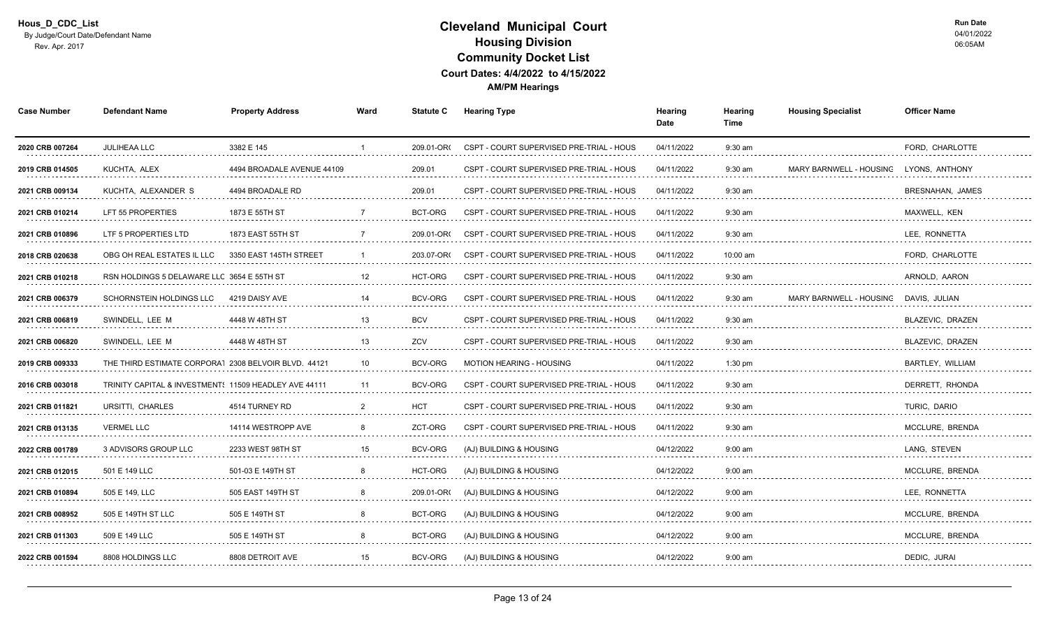| <b>Case Number</b>   | <b>Defendant Name</b>                                 | <b>Property Address</b>    | Ward          | <b>Statute C</b> | <b>Hearing Type</b>                      | Hearing<br>Date | Hearing<br>Time                     | <b>Housing Specialist</b>      | <b>Officer Name</b>               |
|----------------------|-------------------------------------------------------|----------------------------|---------------|------------------|------------------------------------------|-----------------|-------------------------------------|--------------------------------|-----------------------------------|
| 2020 CRB 007264      | JULIHEAA LLC                                          | 3382 E 145                 |               | 209.01-OR        | CSPT - COURT SUPERVISED PRE-TRIAL - HOUS | 04/11/2022      | $9:30$ am                           |                                | FORD, CHARLOTTE                   |
| 2019 CRB 014505      | KUCHTA, ALEX<br>.                                     | 4494 BROADALE AVENUE 44109 |               | 209.01           | CSPT - COURT SUPERVISED PRE-TRIAL - HOUS | 04/11/2022<br>. | 9:30 am<br>and a strategic control. | <b>MARY BARNWELL - HOUSING</b> | LYONS, ANTHONY                    |
| 2021 CRB 009134<br>. | KUCHTA, ALEXANDER S                                   | 4494 BROADALE RD           |               | 209.01           | CSPT - COURT SUPERVISED PRE-TRIAL - HOUS | 04/11/2022      | $9:30$ am                           |                                | BRESNAHAN, JAMES<br>.             |
| 2021 CRB 010214      | LFT 55 PROPERTIES                                     | 1873 E 55TH ST             |               | BCT-ORG          | CSPT - COURT SUPERVISED PRE-TRIAL - HOUS | 04/11/2022      | $9:30$ am                           |                                | MAXWELL, KEN                      |
| 2021 CRB 010896      | LTF 5 PROPERTIES LTD                                  | 1873 EAST 55TH ST          |               | 209.01-OR        | CSPT - COURT SUPERVISED PRE-TRIAL - HOUS | 04/11/2022      | $9:30$ am                           |                                | LEE, RONNETTA                     |
| 2018 CRB 020638      | OBG OH REAL ESTATES IL LLC                            | 3350 EAST 145TH STREET     |               | 203.07-OR        | CSPT - COURT SUPERVISED PRE-TRIAL - HOUS | 04/11/2022      | 10:00 am                            |                                | FORD, CHARLOTTE                   |
| 2021 CRB 010218<br>. | RSN HOLDINGS 5 DELAWARE LLC 3654 E 55TH ST            |                            | 12            | HCT-ORG          | CSPT - COURT SUPERVISED PRE-TRIAL - HOUS | 04/11/2022      | $9:30$ am                           |                                | ARNOLD, AARON<br>.                |
| 2021 CRB 006379      | SCHORNSTEIN HOLDINGS LLC                              | 4219 DAISY AVE             |               | BCV-ORG          | CSPT - COURT SUPERVISED PRE-TRIAL - HOUS | 04/11/2022      | $9:30$ am                           | MARY BARNWELL - HOUSING        | DAVIS, JULIAN                     |
| 2021 CRB 006819      | SWINDELL, LEE M                                       | 4448 W 48TH ST             | 13            | <b>BCV</b>       | CSPT - COURT SUPERVISED PRE-TRIAL - HOUS | 04/11/2022      | $9:30$ am                           |                                | BLAZEVIC, DRAZEN                  |
| 2021 CRB 006820      | SWINDELL, LEE M                                       | 4448 W 48TH ST             | 13            | ZCV              | CSPT - COURT SUPERVISED PRE-TRIAL - HOUS | 04/11/2022      | $9:30$ am                           |                                | BLAZEVIC, DRAZEN                  |
| 2019 CRB 009333      | THE THIRD ESTIMATE CORPORA1 2308 BELVOIR BLVD. 44121  |                            | 10            | <b>BCV-ORG</b>   | <b>MOTION HEARING - HOUSING</b>          | 04/11/2022      | $1:30$ pm                           |                                | <b>BARTLEY, WILLIAM</b>           |
| 2016 CRB 003018      | TRINITY CAPITAL & INVESTMENT: 11509 HEADLEY AVE 44111 |                            | 11            | <b>BCV-ORG</b>   | CSPT - COURT SUPERVISED PRE-TRIAL - HOUS | 04/11/2022      | $9:30$ am                           |                                | DERRETT, RHONDA                   |
| 2021 CRB 011821      | URSITTI, CHARLES                                      | 4514 TURNEY RD             | $\mathcal{P}$ | <b>HCT</b>       | CSPT - COURT SUPERVISED PRE-TRIAL - HOUS | 04/11/2022      | $9:30$ am                           |                                | TURIC, DARIO                      |
| 2021 CRB 013135      | <b>VERMEL LLC</b>                                     | 14114 WESTROPP AVE         | 8             | ZCT-ORG          | CSPT - COURT SUPERVISED PRE-TRIAL - HOUS | 04/11/2022      | $9:30$ am                           |                                | MCCLURE, BRENDA                   |
| 2022 CRB 001789      | 3 ADVISORS GROUP LLC                                  | 2233 WEST 98TH ST          | 15            | BCV-ORG          | (AJ) BUILDING & HOUSING                  | 04/12/2022      | $9:00$ am                           |                                | LANG, STEVEN<br>dia dia dia dia 4 |
| 2021 CRB 012015      | 501 E 149 LLC                                         | 501-03 E 149TH ST          |               | HCT-ORG          | (AJ) BUILDING & HOUSING                  | 04/12/2022      | $9:00$ am                           |                                | MCCLURE, BRENDA                   |
| 2021 CRB 010894      | 505 E 149. LLC                                        | 505 EAST 149TH ST          |               | 209.01-OR        | (AJ) BUILDING & HOUSING                  | 04/12/2022      | $9:00$ am                           |                                | LEE. RONNETTA                     |
| 2021 CRB 008952      | 505 E 149TH ST LLC                                    | 505 E 149TH ST             | 8             | BCT-ORG          | (AJ) BUILDING & HOUSING                  | 04/12/2022      | $9:00$ am                           |                                | MCCLURE, BRENDA                   |
| 2021 CRB 011303      | 509 E 149 LLC                                         | 505 E 149TH ST             |               | BCT-ORG          | (AJ) BUILDING & HOUSING                  | 04/12/2022      | $9:00$ am                           |                                | MCCLURE, BRENDA                   |
| 2022 CRB 001594      | 8808 HOLDINGS LLC                                     | 8808 DETROIT AVE           | 15            | BCV-ORG          | (AJ) BUILDING & HOUSING                  | 04/12/2022      | $9:00$ am                           |                                | DEDIC, JURAI                      |
|                      |                                                       |                            |               |                  |                                          |                 |                                     |                                |                                   |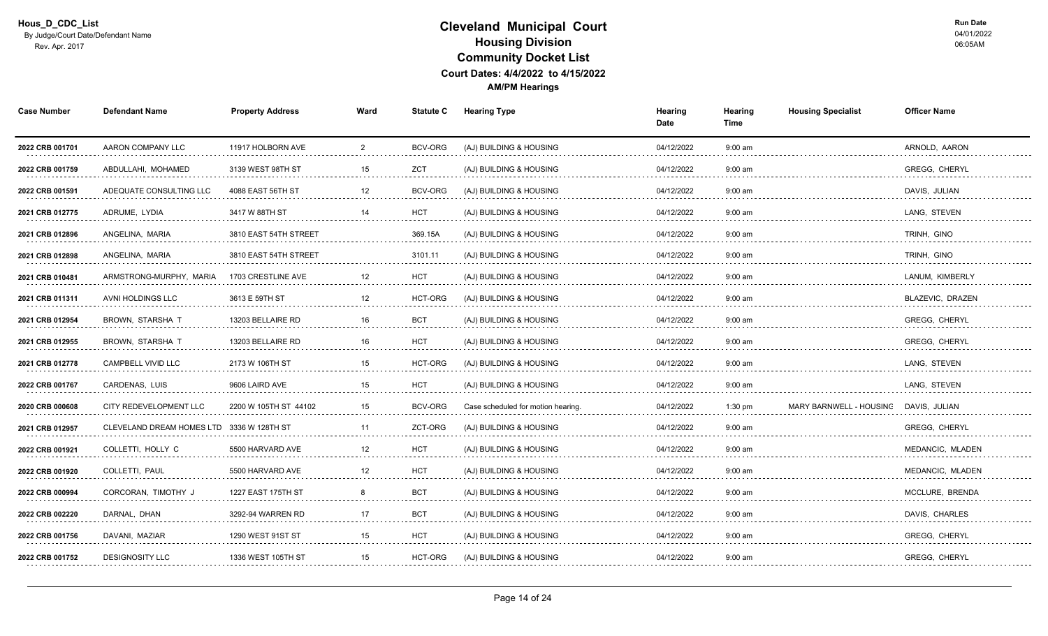| <b>Case Number</b>   | <b>Defendant Name</b>     | <b>Property Address</b> | Ward           | <b>Statute C</b>                                                                                                                                                                                                                    | <b>Hearing Type</b>                | Hearing<br>Date | Hearing<br>Time | <b>Housing Specialist</b> | <b>Officer Name</b>       |
|----------------------|---------------------------|-------------------------|----------------|-------------------------------------------------------------------------------------------------------------------------------------------------------------------------------------------------------------------------------------|------------------------------------|-----------------|-----------------|---------------------------|---------------------------|
| 2022 CRB 001701      | AARON COMPANY LLC         | 11917 HOLBORN AVE       | $\overline{2}$ | BCV-ORG                                                                                                                                                                                                                             | (AJ) BUILDING & HOUSING            | 04/12/2022      | $9:00$ am       |                           | ARNOLD, AARON             |
| 2022 CRB 001759      | ABDULLAHI, MOHAMED        | 3139 WEST 98TH ST       | 15             | ZCT<br>1.1.1.1.1                                                                                                                                                                                                                    | (AJ) BUILDING & HOUSING            | 04/12/2022      | $9:00$ am       |                           | <b>GREGG, CHERYL</b><br>. |
| 2022 CRB 001591      | ADEQUATE CONSULTING LLC   | 4088 EAST 56TH ST       | 12             | <b>BCV-ORG</b>                                                                                                                                                                                                                      | (AJ) BUILDING & HOUSING            | 04/12/2022      | $9:00$ am       |                           | DAVIS, JULIAN             |
| 2021 CRB 012775      | ADRUME, LYDIA             | 3417 W 88TH ST          | 14             | <b>HCT</b>                                                                                                                                                                                                                          | (AJ) BUILDING & HOUSING            | 04/12/2022      | $9:00$ am       |                           | LANG, STEVEN              |
| 2021 CRB 012896      | ANGELINA, MARIA           | 3810 EAST 54TH STREET   |                | 369.15A                                                                                                                                                                                                                             | (AJ) BUILDING & HOUSING            | 04/12/2022      | $9:00$ am       |                           | TRINH, GINO               |
| 2021 CRB 012898      | ANGELINA, MARIA           | 3810 EAST 54TH STREET   |                | 3101.11                                                                                                                                                                                                                             | (AJ) BUILDING & HOUSING            | 04/12/2022      | $9:00$ am       |                           | TRINH. GINO               |
| 2021 CRB 010481<br>. | ARMSTRONG-MURPHY, MARIA   | 1703 CRESTLINE AVE<br>. |                | <b>HCT</b>                                                                                                                                                                                                                          | (AJ) BUILDING & HOUSING            | 04/12/2022      | $9:00$ am       |                           | LANUM, KIMBERLY<br>.      |
| 2021 CRB 011311      | AVNI HOLDINGS LLC         | 3613 E 59TH ST          | 12             | HCT-ORG                                                                                                                                                                                                                             | (AJ) BUILDING & HOUSING            | 04/12/2022      | $9:00$ am       |                           | BLAZEVIC, DRAZEN          |
| 2021 CRB 012954      | <b>BROWN, STARSHA T</b>   | 13203 BELLAIRE RD       | 16             | <b>BCT</b>                                                                                                                                                                                                                          | (AJ) BUILDING & HOUSING            | 04/12/2022      | $9:00$ am       |                           | <b>GREGG, CHERYL</b>      |
| 2021 CRB 012955      | <b>BROWN, STARSHA T</b>   | 13203 BELLAIRE RD       | 16             | <b>HCT</b>                                                                                                                                                                                                                          | (AJ) BUILDING & HOUSING            | 04/12/2022      | $9:00$ am       |                           | <b>GREGG, CHERYL</b>      |
| 2021 CRB 012778<br>. | <b>CAMPBELL VIVID LLC</b> | 2173 W 106TH ST         | 15             | HCT-ORG                                                                                                                                                                                                                             | (AJ) BUILDING & HOUSING            | 04/12/2022      | $9:00$ am       |                           | LANG, STEVEN<br>.         |
| 2022 CRB 001767      | CARDENAS, LUIS            | 9606 LAIRD AVE          | 15             | <b>HCT</b>                                                                                                                                                                                                                          | (AJ) BUILDING & HOUSING            | 04/12/2022      | $9:00$ am       |                           | LANG, STEVEN              |
| 2020 CRB 000608<br>. | CITY REDEVELOPMENT LLC    | 2200 W 105TH ST 44102   | 15             | <b>BCV-ORG</b>                                                                                                                                                                                                                      | Case scheduled for motion hearing. | 04/12/2022      | $1:30$ pm       | MARY BARNWELL - HOUSING   | DAVIS, JULIAN             |
| 2021 CRB 012957      | CLEVELAND DREAM HOMES LTD | 3336 W 128TH ST         | 11             | ZCT-ORG                                                                                                                                                                                                                             | (AJ) BUILDING & HOUSING            | 04/12/2022      | $9:00$ am       |                           | <b>GREGG, CHERYL</b>      |
| 2022 CRB 001921<br>. | COLLETTI. HOLLY C         | 5500 HARVARD AVE        | 12<br>.        | <b>HCT</b><br>$\begin{aligned} \mathbf{1} & \quad \mathbf{1} & \quad \mathbf{1} & \quad \mathbf{1} & \quad \mathbf{1} & \quad \mathbf{1} & \quad \mathbf{1} & \quad \mathbf{1} & \quad \mathbf{1} & \quad \mathbf{1} \end{aligned}$ | (AJ) BUILDING & HOUSING            | 04/12/2022<br>. | $9:00$ am<br>.  |                           | MEDANCIC, MLADEN          |
| 2022 CRB 001920      | COLLETTI, PAUL            | 5500 HARVARD AVE        |                | HCT                                                                                                                                                                                                                                 | (AJ) BUILDING & HOUSING            | 04/12/2022      | $9:00$ am       |                           | MEDANCIC, MLADEN          |
| 2022 CRB 000994      | CORCORAN, TIMOTHY J       | 1227 EAST 175TH ST      |                | <b>BCT</b>                                                                                                                                                                                                                          | (AJ) BUILDING & HOUSING            | 04/12/2022      | $9:00$ am       |                           | MCCLURE, BRENDA           |
| 2022 CRB 002220      | DARNAL, DHAN              | 3292-94 WARREN RD       | 17             | <b>BCT</b>                                                                                                                                                                                                                          | (AJ) BUILDING & HOUSING            | 04/12/2022      | $9:00$ am       |                           | DAVIS, CHARLES            |
| 2022 CRB 001756<br>. | DAVANI, MAZIAR<br>.       | 1290 WEST 91ST ST       | 15             | <b>HCT</b>                                                                                                                                                                                                                          | (AJ) BUILDING & HOUSING<br>.       | 04/12/2022      | $9:00$ am<br>.  |                           | <b>GREGG, CHERYL</b><br>. |
| 2022 CRB 001752      | <b>DESIGNOSITY LLC</b>    | 1336 WEST 105TH ST      | 15             | HCT-ORG                                                                                                                                                                                                                             | (AJ) BUILDING & HOUSING            | 04/12/2022      | $9:00$ am       |                           | GREGG, CHERYL             |
|                      |                           |                         |                |                                                                                                                                                                                                                                     |                                    |                 |                 |                           |                           |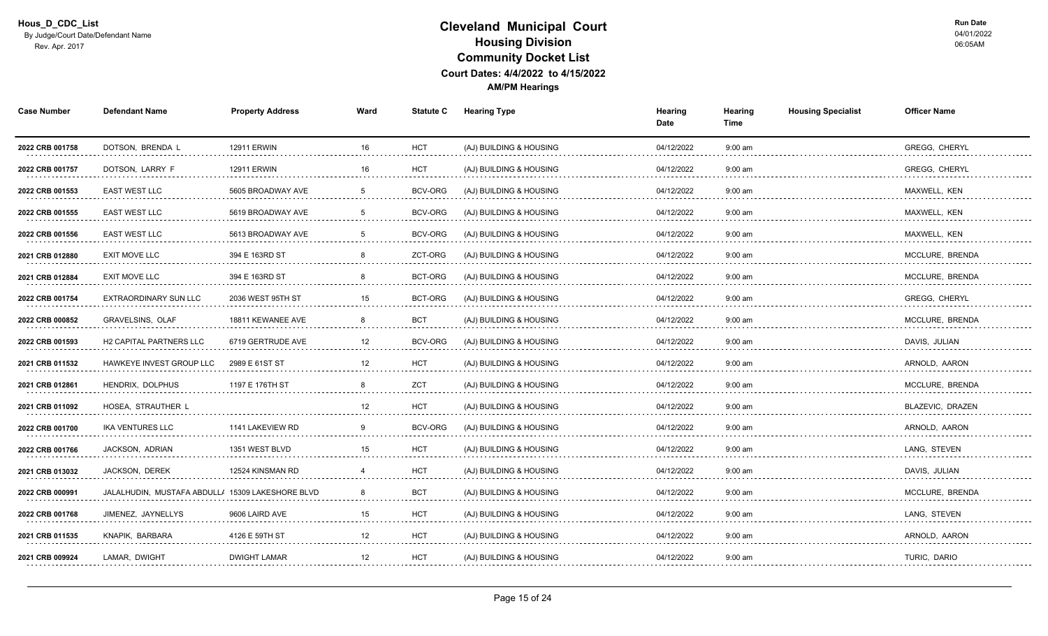| <b>Case Number</b>   | <b>Defendant Name</b>                            | <b>Property Address</b> | Ward              | <b>Statute C</b> | <b>Hearing Type</b>     | Hearing<br>Date | Hearing<br>Time | <b>Housing Specialist</b> | <b>Officer Name</b>  |  |
|----------------------|--------------------------------------------------|-------------------------|-------------------|------------------|-------------------------|-----------------|-----------------|---------------------------|----------------------|--|
| 2022 CRB 001758      | DOTSON, BRENDA L                                 | <b>12911 ERWIN</b>      | 16                | <b>HCT</b>       | (AJ) BUILDING & HOUSING | 04/12/2022      | $9:00$ am       |                           | GREGG, CHERYL        |  |
| 2022 CRB 001757<br>. | DOTSON, LARRY F                                  | <b>12911 ERWIN</b>      | 16                | <b>HCT</b><br>.  | (AJ) BUILDING & HOUSING | 04/12/2022<br>. | $9:00$ am<br>.  |                           | <b>GREGG, CHERYL</b> |  |
| 2022 CRB 001553      | <b>EAST WEST LLC</b>                             | 5605 BROADWAY AVE<br>.  |                   | BCV-ORG          | (AJ) BUILDING & HOUSING | 04/12/2022      | $9:00$ am       |                           | MAXWELL, KEN         |  |
| 2022 CRB 001555      | <b>EAST WEST LLC</b>                             | 5619 BROADWAY AVE       |                   | BCV-ORG          | (AJ) BUILDING & HOUSING | 04/12/2022      | $9:00$ am       |                           | MAXWELL, KEN         |  |
| 2022 CRB 001556      | <b>EAST WEST LLC</b>                             | 5613 BROADWAY AVE       |                   | BCV-ORG          | (AJ) BUILDING & HOUSING | 04/12/2022      | $9:00$ am       |                           | MAXWELL, KEN         |  |
| 2021 CRB 012880      | <b>EXIT MOVE LLC</b>                             | 394 E 163RD ST          |                   | ZCT-ORG          | (AJ) BUILDING & HOUSING | 04/12/2022      | $9:00$ am       |                           | MCCLURE, BRENDA      |  |
| 2021 CRB 012884<br>. | <b>EXIT MOVE LLC</b><br>.                        | 394 E 163RD ST          |                   | BCT-ORG          | (AJ) BUILDING & HOUSING | 04/12/2022      | $9:00$ am       |                           | MCCLURE, BRENDA<br>. |  |
| 2022 CRB 001754      | EXTRAORDINARY SUN LLC                            | 2036 WEST 95TH ST       | 15                | BCT-ORG          | (AJ) BUILDING & HOUSING | 04/12/2022      | $9:00$ am       |                           | GREGG, CHERYL        |  |
| 2022 CRB 000852      | GRAVELSINS, OLAF                                 | 18811 KEWANEE AVE       | $\mathbf{R}$      | <b>BCT</b>       | (AJ) BUILDING & HOUSING | 04/12/2022      | $9:00$ am       |                           | MCCLURE, BRENDA      |  |
| 2022 CRB 001593      | <b>H2 CAPITAL PARTNERS LLC</b>                   | 6719 GERTRUDE AVE       | 12                | BCV-ORG          | (AJ) BUILDING & HOUSING | 04/12/2022      | $9:00$ am       |                           | DAVIS, JULIAN        |  |
| 2021 CRB 011532      | <b>HAWKEYE INVEST GROUP LLC</b>                  | 2989 E 61ST ST          | $12 \overline{ }$ | <b>HCT</b>       | (AJ) BUILDING & HOUSING | 04/12/2022      | $9:00$ am       |                           | ARNOLD, AARON<br>.   |  |
| 2021 CRB 012861      | HENDRIX, DOLPHUS                                 | 1197 E 176TH ST         |                   | <b>ZCT</b>       | (AJ) BUILDING & HOUSING | 04/12/2022      | $9:00$ am       |                           | MCCLURE, BRENDA      |  |
| 2021 CRB 011092      | HOSEA, STRAUTHER L                               |                         | 12                | <b>HCT</b>       | (AJ) BUILDING & HOUSING | 04/12/2022      | $9:00$ am       |                           | BLAZEVIC, DRAZEN     |  |
| 2022 CRB 001700      | <b>IKA VENTURES LLC</b>                          | 1141 LAKEVIEW RD        | -9                | BCV-ORG          | (AJ) BUILDING & HOUSING | 04/12/2022      | $9:00$ am       |                           | ARNOLD, AARON        |  |
| 2022 CRB 001766<br>. | JACKSON, ADRIAN                                  | 1351 WEST BLVD<br>.     | 15                | <b>HCT</b>       | (AJ) BUILDING & HOUSING | 04/12/2022      | $9:00$ am       |                           | LANG, STEVEN         |  |
| 2021 CRB 013032      | <b>JACKSON, DEREK</b>                            | 12524 KINSMAN RD        |                   | <b>HCT</b>       | (AJ) BUILDING & HOUSING | 04/12/2022      | $9:00$ am       |                           | DAVIS, JULIAN        |  |
| 2022 CRB 000991      | JALALHUDIN. MUSTAFA ABDULLI 15309 LAKESHORE BLVD |                         |                   | <b>BCT</b>       | (AJ) BUILDING & HOUSING | 04/12/2022      | $9:00$ am       |                           | MCCLURE, BRENDA      |  |
| 2022 CRB 001768      | JIMENEZ, JAYNELLYS                               | 9606 LAIRD AVE          | 15                | <b>HCT</b>       | (AJ) BUILDING & HOUSING | 04/12/2022      | $9:00$ am       |                           | LANG, STEVEN         |  |
| 2021 CRB 011535<br>. | KNAPIK, BARBARA<br>.                             | 4126 E 59TH ST          | 12<br>.           | <b>HCT</b><br>.  | (AJ) BUILDING & HOUSING | 04/12/2022<br>. | $9:00$ am<br>.  |                           | ARNOLD, AARON<br>.   |  |
| 2021 CRB 009924      | LAMAR, DWIGHT                                    | <b>DWIGHT LAMAR</b>     | 12                | <b>HCT</b>       | (AJ) BUILDING & HOUSING | 04/12/2022      | $9:00$ am       |                           | TURIC, DARIO         |  |
|                      |                                                  |                         |                   |                  |                         |                 |                 |                           |                      |  |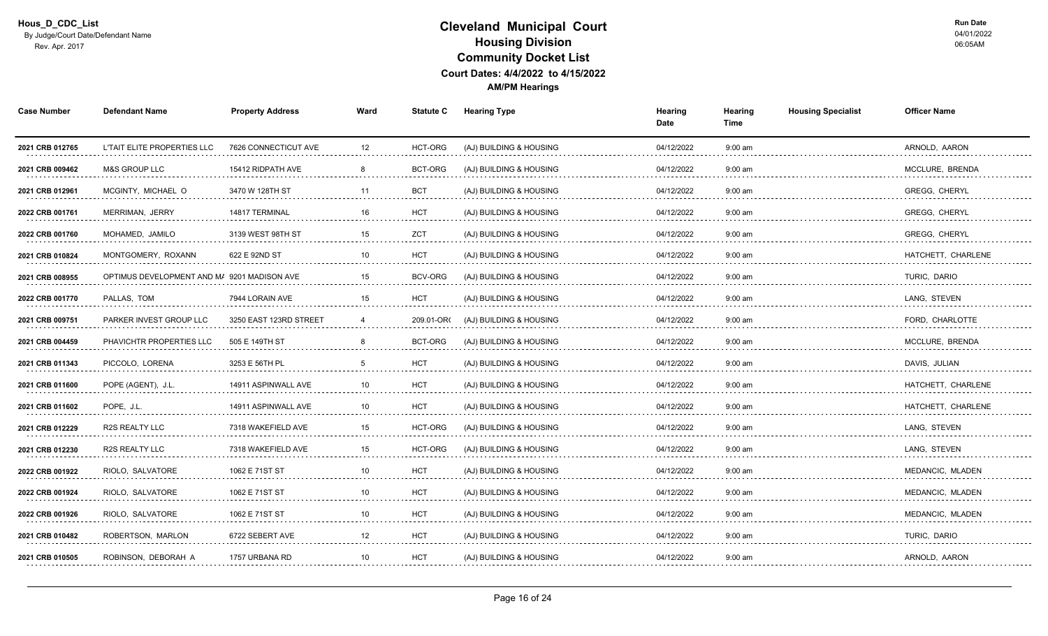| <b>Case Number</b>   | <b>Defendant Name</b>                       | <b>Property Address</b> | Ward | <b>Statute C</b> | <b>Hearing Type</b>     | Hearing<br>Date | Hearing<br>Time | <b>Housing Specialist</b> | <b>Officer Name</b>  |
|----------------------|---------------------------------------------|-------------------------|------|------------------|-------------------------|-----------------|-----------------|---------------------------|----------------------|
| 2021 CRB 012765      | L'TAIT ELITE PROPERTIES LLC                 | 7626 CONNECTICUT AVE    | 12   | HCT-ORG          | (AJ) BUILDING & HOUSING | 04/12/2022      | $9:00$ am       |                           | ARNOLD, AARON        |
| 2021 CRB 009462<br>. | <b>M&amp;S GROUP LLC</b><br>.               | 15412 RIDPATH AVE       |      | BCT-ORG          | (AJ) BUILDING & HOUSING | 04/12/2022<br>. | $9:00$ am       |                           | MCCLURE, BRENDA      |
| 2021 CRB 012961      | MCGINTY, MICHAEL O                          | 3470 W 128TH ST<br>.    | 11   | <b>BCT</b>       | (AJ) BUILDING & HOUSING | 04/12/2022      | $9:00$ am       |                           | <b>GREGG, CHERYL</b> |
| 2022 CRB 001761      | MERRIMAN, JERRY                             | 14817 TERMINAL          | 16   | <b>HCT</b>       | (AJ) BUILDING & HOUSING | 04/12/2022      | $9:00$ am       |                           | <b>GREGG, CHERYL</b> |
| 2022 CRB 001760      | MOHAMED, JAMILO                             | 3139 WEST 98TH ST       | 15   | ZCT              | (AJ) BUILDING & HOUSING | 04/12/2022      | $9:00$ am       |                           | <b>GREGG, CHERYL</b> |
| 2021 CRB 010824      | MONTGOMERY, ROXANN                          | 622 E 92ND ST           | 10   | <b>HCT</b>       | (AJ) BUILDING & HOUSING | 04/12/2022      | $9:00$ am       |                           | HATCHETT, CHARLENE   |
| 2021 CRB 008955<br>. | OPTIMUS DEVELOPMENT AND M/ 9201 MADISON AVE |                         | 15   | <b>BCV-ORG</b>   | (AJ) BUILDING & HOUSING | 04/12/2022      | $9:00$ am       |                           | TURIC, DARIO<br>.    |
| 2022 CRB 001770      | PALLAS. TOM                                 | 7944 LORAIN AVE         | 15   | <b>HCT</b>       | (AJ) BUILDING & HOUSING | 04/12/2022      | $9:00$ am       |                           | LANG. STEVEN         |
| 2021 CRB 009751      | PARKER INVEST GROUP LLC                     | 3250 EAST 123RD STREET  | 4    | 209.01-OR        | (AJ) BUILDING & HOUSING | 04/12/2022      | $9:00$ am       |                           | FORD, CHARLOTTE      |
| 2021 CRB 004459      | PHAVICHTR PROPERTIES LLC                    | 505 E 149TH ST          | 8    | BCT-ORG          | (AJ) BUILDING & HOUSING | 04/12/2022      | $9:00$ am       |                           | MCCLURE, BRENDA      |
| 2021 CRB 011343<br>. | PICCOLO, LORENA<br>.                        | 3253 E 56TH PL          |      | <b>HCT</b><br>.  | (AJ) BUILDING & HOUSING | 04/12/2022<br>. | $9:00$ am<br>.  |                           | DAVIS, JULIAN<br>.   |
| 2021 CRB 011600      | POPE (AGENT), J.L.                          | 14911 ASPINWALL AVE     | 10   | <b>HCT</b>       | (AJ) BUILDING & HOUSING | 04/12/2022      | $9:00$ am       |                           | HATCHETT, CHARLENE   |
| 2021 CRB 011602<br>. | POPE, J.L.                                  | 14911 ASPINWALL AVE     | 10   | <b>HCT</b>       | (AJ) BUILDING & HOUSING | 04/12/2022      | $9:00$ am       |                           | HATCHETT, CHARLENE   |
| 2021 CRB 012229      | R2S REALTY LLC                              | 7318 WAKEFIELD AVE      | 15   | HCT-ORG          | (AJ) BUILDING & HOUSING | 04/12/2022      | $9:00$ am       |                           | LANG, STEVEN         |
| 2021 CRB 012230<br>. | R2S REALTY LLC<br>.                         | 7318 WAKEFIELD AVE      | 15   | HCT-ORG          | (AJ) BUILDING & HOUSING | 04/12/2022      | $9:00$ am       |                           | LANG, STEVEN<br>.    |
| 2022 CRB 001922      | RIOLO, SALVATORE                            | 1062 E 71ST ST          |      | <b>HCT</b>       | (AJ) BUILDING & HOUSING | 04/12/2022      | $9:00$ am       |                           | MEDANCIC, MLADEN     |
| 2022 CRB 001924      | RIOLO, SALVATORE                            | 1062 E 71ST ST          | 10   | <b>HCT</b>       | (AJ) BUILDING & HOUSING | 04/12/2022      | $9:00$ am       |                           | MEDANCIC, MLADEN     |
| 2022 CRB 001926      | RIOLO, SALVATORE                            | 1062 E 71ST ST          | 10   | <b>HCT</b>       | (AJ) BUILDING & HOUSING | 04/12/2022      | $9:00$ am       |                           | MEDANCIC, MLADEN     |
| 2021 CRB 010482<br>. | ROBERTSON, MARLON                           | 6722 SEBERT AVE         | 12   | <b>HCT</b>       | (AJ) BUILDING & HOUSING | 04/12/2022      | $9:00$ am<br>.  |                           | TURIC, DARIO<br>.    |
| 2021 CRB 010505      | ROBINSON, DEBORAH A                         | 1757 URBANA RD          | 10   | <b>HCT</b>       | (AJ) BUILDING & HOUSING | 04/12/2022      | $9:00$ am       |                           | ARNOLD, AARON        |
|                      |                                             |                         |      |                  |                         |                 |                 |                           |                      |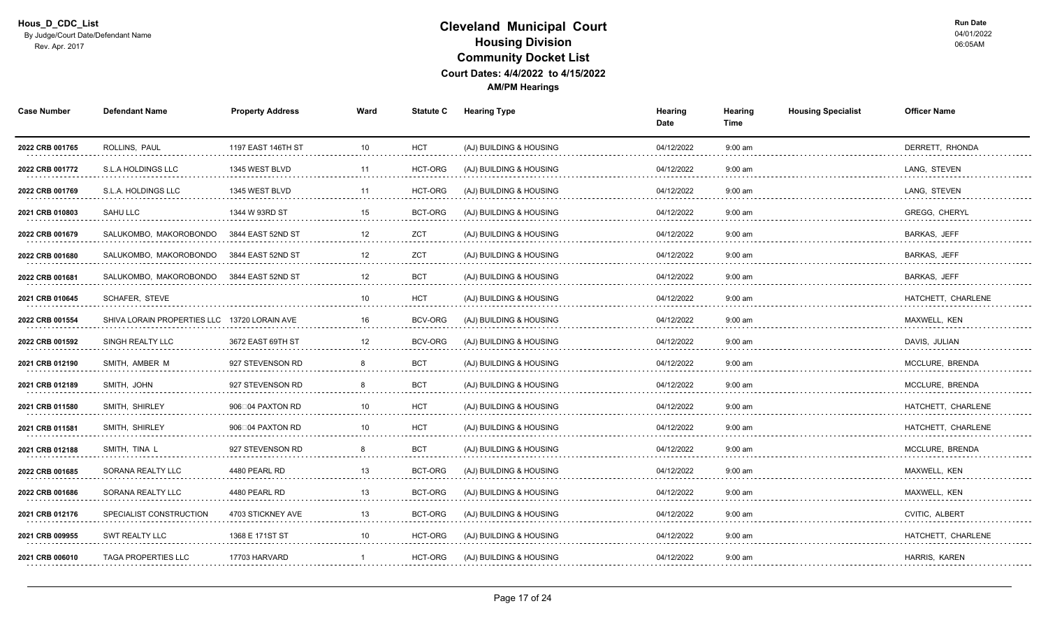| <b>Case Number</b>   | <b>Defendant Name</b>                        | <b>Property Address</b> | Ward | <b>Statute C</b> | <b>Hearing Type</b>     | Hearing<br>Date | Hearing<br>Time | <b>Housing Specialist</b> | <b>Officer Name</b>      |
|----------------------|----------------------------------------------|-------------------------|------|------------------|-------------------------|-----------------|-----------------|---------------------------|--------------------------|
| 2022 CRB 001765      | ROLLINS, PAUL                                | 1197 EAST 146TH ST      | 10   | <b>HCT</b>       | (AJ) BUILDING & HOUSING | 04/12/2022      | $9:00$ am       |                           | DERRETT, RHONDA          |
| 2022 CRB 001772      | S.L.A HOLDINGS LLC                           | 1345 WEST BLVD          | 11   | HCT-ORG          | (AJ) BUILDING & HOUSING | 04/12/2022      | $9:00$ am       |                           | LANG, STEVEN<br>.        |
| 2022 CRB 001769      | S.L.A. HOLDINGS LLC                          | 1345 WEST BLVD          | 11   | HCT-ORG          | (AJ) BUILDING & HOUSING | 04/12/2022      | $9:00$ am       |                           | LANG, STEVEN             |
| 2021 CRB 010803      | <b>SAHU LLC</b>                              | 1344 W 93RD ST          | 15   | BCT-ORG          | (AJ) BUILDING & HOUSING | 04/12/2022      | $9:00$ am       |                           | <b>GREGG, CHERYL</b>     |
| 2022 CRB 001679      | SALUKOMBO, MAKOROBONDO                       | 3844 EAST 52ND ST       | 12   | ZCT              | (AJ) BUILDING & HOUSING | 04/12/2022      | $9:00$ am       |                           | BARKAS, JEFF             |
| 2022 CRB 001680      | SALUKOMBO, MAKOROBONDO                       | 3844 EAST 52ND ST       | 12   | <b>ZCT</b>       | (AJ) BUILDING & HOUSING | 04/12/2022      | $9:00$ am       |                           | <b>BARKAS, JEFF</b>      |
| 2022 CRB 001681<br>. | SALUKOMBO, MAKOROBONDO                       | 3844 EAST 52ND ST       | 12   | <b>BCT</b>       | (AJ) BUILDING & HOUSING | 04/12/2022      | $9:00$ am       |                           | <b>BARKAS, JEFF</b><br>. |
| 2021 CRB 010645      | SCHAFER, STEVE                               |                         | 10   | <b>HCT</b>       | (AJ) BUILDING & HOUSING | 04/12/2022      | $9:00$ am       |                           | HATCHETT, CHARLENE       |
| 2022 CRB 001554<br>. | SHIVA LORAIN PROPERTIES LLC 13720 LORAIN AVE |                         | 16   | BCV-ORG          | (AJ) BUILDING & HOUSING | 04/12/2022      | $9:00$ am       |                           | MAXWELL, KEN             |
| 2022 CRB 001592      | SINGH REALTY LLC                             | 3672 EAST 69TH ST       | 12   | BCV-ORG          | (AJ) BUILDING & HOUSING | 04/12/2022      | $9:00$ am       |                           | DAVIS, JULIAN            |
| 2021 CRB 012190<br>. | SMITH, AMBER M                               | 927 STEVENSON RD        |      | <b>BCT</b><br>.  | (AJ) BUILDING & HOUSING | 04/12/2022<br>. | $9:00$ am<br>.  |                           | MCCLURE, BRENDA          |
| 2021 CRB 012189      | SMITH, JOHN                                  | 927 STEVENSON RD        |      | <b>BCT</b>       | (AJ) BUILDING & HOUSING | 04/12/2022      | $9:00$ am       |                           | MCCLURE, BRENDA          |
| 2021 CRB 011580      | SMITH, SHIRLEY                               | 906004 PAXTON RD        | 10   | <b>HCT</b>       | (AJ) BUILDING & HOUSING | 04/12/2022      | $9:00$ am       |                           | HATCHETT, CHARLENE       |
| 2021 CRB 011581      | SMITH, SHIRLEY                               | 906□04 PAXTON RD        | 10   | <b>HCT</b>       | (AJ) BUILDING & HOUSING | 04/12/2022      | $9:00$ am       |                           | HATCHETT, CHARLENE       |
| 2021 CRB 012188<br>. | SMITH, TINA L<br>.                           | 927 STEVENSON RD<br>.   |      | <b>BCT</b>       | (AJ) BUILDING & HOUSING | 04/12/2022<br>. | $9:00$ am<br>.  |                           | MCCLURE, BRENDA<br>.     |
| 2022 CRB 001685      | SORANA REALTY LLC                            | 4480 PEARL RD           |      | BCT-ORG          | (AJ) BUILDING & HOUSING | 04/12/2022      | $9:00$ am       |                           | MAXWELL, KEN             |
| 2022 CRB 001686      | <b>SORANA REALTY LLC</b>                     | 4480 PEARL RD           | 13   | <b>BCT-ORG</b>   | (AJ) BUILDING & HOUSING | 04/12/2022      | $9:00$ am       |                           | MAXWELL, KEN             |
| 2021 CRB 012176      | SPECIALIST CONSTRUCTION                      | 4703 STICKNEY AVE       | 13   | BCT-ORG          | (AJ) BUILDING & HOUSING | 04/12/2022      | $9:00$ am       |                           | <b>CVITIC, ALBERT</b>    |
| 2021 CRB 009955      | <b>SWT REALTY LLC</b>                        | 1368 E 171ST ST         | 10   | HCT-ORG          | (AJ) BUILDING & HOUSING | 04/12/2022      | $9:00$ am       |                           | HATCHETT, CHARLENE       |
| 2021 CRB 006010      | <b>TAGA PROPERTIES LLC</b>                   | 17703 HARVARD           |      | HCT-ORG          | (AJ) BUILDING & HOUSING | 04/12/2022      | $9:00$ am       |                           | HARRIS, KAREN            |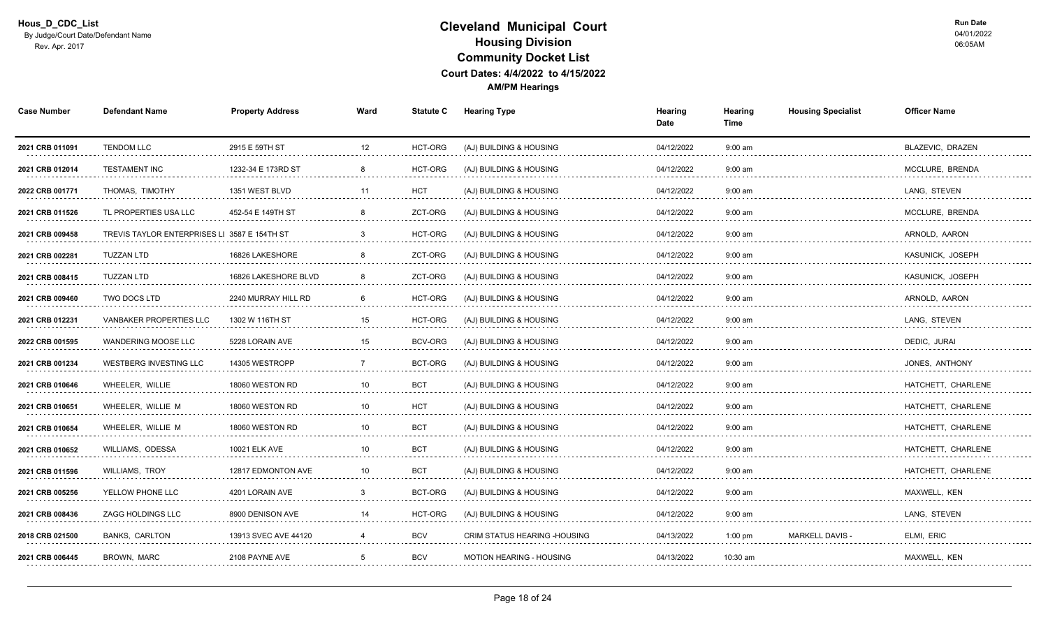| <b>Case Number</b>                                                                                                                                                                                                                                | <b>Defendant Name</b>                        | <b>Property Address</b>   | Ward | <b>Statute C</b> | <b>Hearing Type</b>           | Hearing<br>Date | Hearing<br>Time | <b>Housing Specialist</b> | <b>Officer Name</b>   |
|---------------------------------------------------------------------------------------------------------------------------------------------------------------------------------------------------------------------------------------------------|----------------------------------------------|---------------------------|------|------------------|-------------------------------|-----------------|-----------------|---------------------------|-----------------------|
| 2021 CRB 011091                                                                                                                                                                                                                                   | <b>TENDOM LLC</b>                            | 2915 E 59TH ST            | 12   | HCT-ORG          | (AJ) BUILDING & HOUSING       | 04/12/2022      | $9:00$ am       |                           | BLAZEVIC, DRAZEN      |
| 2021 CRB 012014                                                                                                                                                                                                                                   | <b>TESTAMENT INC</b><br>.                    | 1232-34 E 173RD ST        | .    | HCT-ORG          | (AJ) BUILDING & HOUSING       | 04/12/2022      | $9:00$ am       |                           | MCCLURE, BRENDA<br>.  |
| 2022 CRB 001771                                                                                                                                                                                                                                   | THOMAS. TIMOTHY                              | 1351 WEST BLVD            | 11   | <b>HCT</b>       | (AJ) BUILDING & HOUSING       | 04/12/2022      | $9:00$ am       |                           | LANG. STEVEN          |
| 2021 CRB 011526                                                                                                                                                                                                                                   | TL PROPERTIES USA LLC                        | 452-54 E 149TH ST         |      | ZCT-ORG          | (AJ) BUILDING & HOUSING       | 04/12/2022      | $9:00$ am       |                           | MCCLURE, BRENDA       |
| 2021 CRB 009458                                                                                                                                                                                                                                   | TREVIS TAYLOR ENTERPRISES LI 3587 E 154TH ST |                           | 3    | HCT-ORG          | (AJ) BUILDING & HOUSING       | 04/12/2022      | $9:00$ am       |                           | ARNOLD, AARON         |
| 2021 CRB 002281                                                                                                                                                                                                                                   | <b>TUZZAN LTD</b>                            | 16826 LAKESHORE           |      | ZCT-ORG          | (AJ) BUILDING & HOUSING       | 04/12/2022      | $9:00$ am       |                           | KASUNICK, JOSEPH      |
| 2021 CRB 008415<br>.                                                                                                                                                                                                                              | <b>TUZZAN LTD</b><br>.                       | 16826 LAKESHORE BLVD<br>. |      | ZCT-ORG          | (AJ) BUILDING & HOUSING       | 04/12/2022      | $9:00$ am       |                           | KASUNICK, JOSEPH<br>. |
| 2021 CRB 009460                                                                                                                                                                                                                                   | <b>TWO DOCS LTD</b>                          | 2240 MURRAY HILL RD       |      | HCT-ORG          | (AJ) BUILDING & HOUSING       | 04/12/2022      | $9:00$ am       |                           | ARNOLD, AARON         |
| 2021 CRB 012231<br>distribution of the control of the control of the control of the control of the control of the control of the control of the control of the control of the control of the control of the control of the control of the control | <b>VANBAKER PROPERTIES LLC</b>               | 1302 W 116TH ST           | 15   | HCT-ORG          | (AJ) BUILDING & HOUSING       | 04/12/2022      | $9:00$ am       |                           | LANG, STEVEN          |
| 2022 CRB 001595                                                                                                                                                                                                                                   | <b>WANDERING MOOSE LLC</b>                   | 5228 LORAIN AVE           | 15   | BCV-ORG          | (AJ) BUILDING & HOUSING       | 04/12/2022      | $9:00$ am       |                           | DEDIC, JURAI          |
| 2021 CRB 001234<br>.                                                                                                                                                                                                                              | <b>WESTBERG INVESTING LLC</b>                | 14305 WESTROPP            |      | BCT-ORG          | (AJ) BUILDING & HOUSING       | 04/12/2022<br>. | $9:00$ am<br>.  |                           | JONES, ANTHONY<br>.   |
| 2021 CRB 010646                                                                                                                                                                                                                                   | WHEELER. WILLIE                              | 18060 WESTON RD           | 10   | <b>BCT</b>       | (AJ) BUILDING & HOUSING       | 04/12/2022      | $9:00$ am       |                           | HATCHETT, CHARLENE    |
| 2021 CRB 010651                                                                                                                                                                                                                                   | WHEELER. WILLIE M                            | 18060 WESTON RD           | 10   | <b>HCT</b>       | (AJ) BUILDING & HOUSING       | 04/12/2022      | $9:00$ am       |                           | HATCHETT. CHARLENE    |
| 2021 CRB 010654                                                                                                                                                                                                                                   | WHEELER, WILLIE M                            | 18060 WESTON RD           | 10   | <b>BCT</b>       | (AJ) BUILDING & HOUSING       | 04/12/2022      | $9:00$ am       |                           | HATCHETT, CHARLENE    |
| 2021 CRB 010652<br>.                                                                                                                                                                                                                              | <b>WILLIAMS, ODESSA</b>                      | <b>10021 ELK AVE</b>      | 10   | <b>BCT</b><br>.  | (AJ) BUILDING & HOUSING       | 04/12/2022<br>. | $9:00$ am<br>.  |                           | HATCHETT, CHARLENE    |
| 2021 CRB 011596                                                                                                                                                                                                                                   | <b>WILLIAMS, TROY</b>                        | 12817 EDMONTON AVE        | 10   | <b>BCT</b>       | (AJ) BUILDING & HOUSING       | 04/12/2022      | $9:00$ am       |                           | HATCHETT, CHARLENE    |
| 2021 CRB 005256                                                                                                                                                                                                                                   | YELLOW PHONE LLC                             | 4201 LORAIN AVE           |      | <b>BCT-ORG</b>   | (AJ) BUILDING & HOUSING       | 04/12/2022      | $9:00$ am       |                           | MAXWELL, KEN          |
| 2021 CRB 008436                                                                                                                                                                                                                                   | ZAGG HOLDINGS LLC                            | 8900 DENISON AVE          | 14   | HCT-ORG          | (AJ) BUILDING & HOUSING       | 04/12/2022      | $9:00$ am       |                           | LANG, STEVEN          |
| 2018 CRB 021500<br>.                                                                                                                                                                                                                              | <b>BANKS, CARLTON</b><br>.                   | 13913 SVEC AVE 44120      |      | <b>BCV</b><br>.  | CRIM STATUS HEARING - HOUSING | 04/13/2022<br>. | $1:00$ pm<br>.  | <b>MARKELL DAVIS -</b>    | ELMI, ERIC<br>.       |
| 2021 CRB 006445                                                                                                                                                                                                                                   | BROWN, MARC                                  | 2108 PAYNE AVE            | 5    | <b>BCV</b>       | MOTION HEARING - HOUSING      | 04/13/2022      | 10:30 am        |                           | MAXWELL, KEN          |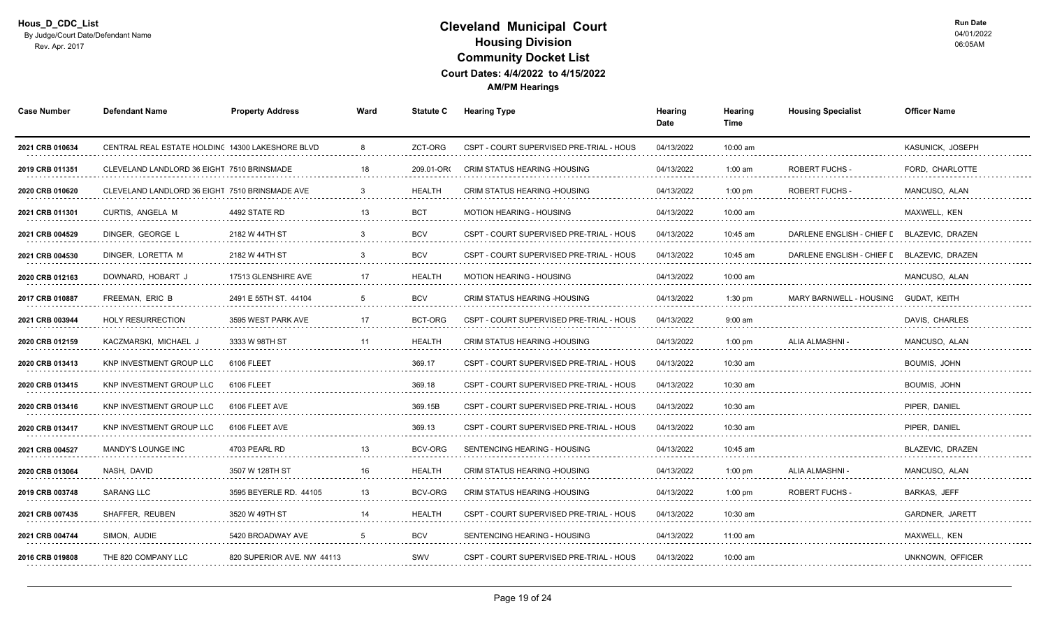| <b>Case Number</b>   | <b>Defendant Name</b>                            | <b>Property Address</b>    | Ward | <b>Statute C</b> | <b>Hearing Type</b>                      | Hearing<br>Date | Hearing<br>Time | <b>Housing Specialist</b> | <b>Officer Name</b>    |
|----------------------|--------------------------------------------------|----------------------------|------|------------------|------------------------------------------|-----------------|-----------------|---------------------------|------------------------|
| 2021 CRB 010634      | CENTRAL REAL ESTATE HOLDING 14300 LAKESHORE BLVD |                            | 8    | ZCT-ORG          | CSPT - COURT SUPERVISED PRE-TRIAL - HOUS | 04/13/2022      | 10:00 am        |                           | KASUNICK, JOSEPH       |
| 2019 CRB 011351      | CLEVELAND LANDLORD 36 EIGHT 7510 BRINSMADE       |                            | 18   | 209.01-OR        | CRIM STATUS HEARING - HOUSING            | 04/13/2022<br>. | $1:00$ am<br>.  | <b>ROBERT FUCHS</b>       | FORD, CHARLOTTE<br>.   |
| 2020 CRB 010620<br>. | CLEVELAND LANDLORD 36 EIGHT 7510 BRINSMADE AVE   |                            |      | <b>HEALTH</b>    | CRIM STATUS HEARING - HOUSING            | 04/13/2022      | $1:00$ pm       | <b>ROBERT FUCHS -</b>     | MANCUSO, ALAN<br>.     |
| 2021 CRB 011301      | CURTIS, ANGELA M                                 | 4492 STATE RD              | 13   | <b>BCT</b>       | MOTION HEARING - HOUSING                 | 04/13/2022      | 10:00 am        |                           | MAXWELL, KEN           |
| 2021 CRB 004529      | DINGER, GEORGE L                                 | 2182 W 44TH ST             | 3    | <b>BCV</b>       | CSPT - COURT SUPERVISED PRE-TRIAL - HOUS | 04/13/2022      | 10:45 am        | DARLENE ENGLISH - CHIEF L | BLAZEVIC, DRAZEN       |
| 2021 CRB 004530      | DINGER, LORETTA M                                | 2182 W 44TH ST             | 3    | <b>BCV</b>       | CSPT - COURT SUPERVISED PRE-TRIAL - HOUS | 04/13/2022      | 10:45 am        | DARLENE ENGLISH - CHIEF L | BLAZEVIC, DRAZEN       |
| 2020 CRB 012163<br>. | DOWNARD, HOBART J<br>.                           | 17513 GLENSHIRE AVE        | 17   | <b>HEALTH</b>    | <b>MOTION HEARING - HOUSING</b>          | 04/13/2022      | 10:00 am        |                           | MANCUSO, ALAN<br>.     |
| 2017 CRB 010887      | FREEMAN, ERIC B                                  | 2491 E 55TH ST. 44104      | .5   | <b>BCV</b>       | <b>CRIM STATUS HEARING -HOUSING</b>      | 04/13/2022      | $1:30$ pm       | MARY BARNWELL - HOUSING   | GUDAT, KEITH           |
| 2021 CRB 003944      | <b>HOLY RESURRECTION</b>                         | 3595 WEST PARK AVE         | 17   | BCT-ORG          | CSPT - COURT SUPERVISED PRE-TRIAL - HOUS | 04/13/2022      | $9:00$ am       |                           | DAVIS, CHARLES         |
| 2020 CRB 012159      | KACZMARSKI, MICHAEL J                            | 3333 W 98TH ST             | 11   | <b>HEALTH</b>    | CRIM STATUS HEARING - HOUSING            | 04/13/2022      | $1:00$ pm       | <b>ALIA ALMASHNI</b>      | MANCUSO, ALAN<br>.     |
| 2020 CRB 013413      | KNP INVESTMENT GROUP LLC                         | 6106 FLEET                 |      | 369.17           | CSPT - COURT SUPERVISED PRE-TRIAL - HOUS | 04/13/2022      | 10:30 am        |                           | BOUMIS, JOHN           |
| 2020 CRB 013415      | KNP INVESTMENT GROUP LLC                         | 6106 FLEET                 |      | 369.18           | CSPT - COURT SUPERVISED PRE-TRIAL - HOUS | 04/13/2022      | 10:30 am        |                           | <b>BOUMIS, JOHN</b>    |
| 2020 CRB 013416      | KNP INVESTMENT GROUP LLC                         | 6106 FLEET AVE             |      | 369.15B          | CSPT - COURT SUPERVISED PRE-TRIAL - HOUS | 04/13/2022      | 10:30 am        |                           | PIPER, DANIEL          |
| 2020 CRB 013417      | KNP INVESTMENT GROUP LLC                         | 6106 FLEET AVE             |      | 369.13           | CSPT - COURT SUPERVISED PRE-TRIAL - HOUS | 04/13/2022      | 10:30 am        |                           | PIPER. DANIEL          |
| 2021 CRB 004527      | MANDY'S LOUNGE INC                               | 4703 PEARL RD              | 13   | BCV-ORG          | SENTENCING HEARING - HOUSING             | 04/13/2022      | 10:45 am        |                           | BLAZEVIC, DRAZEN       |
| 2020 CRB 013064      | NASH. DAVID                                      | 3507 W 128TH ST            | 16   | <b>HEALTH</b>    | <b>CRIM STATUS HEARING -HOUSING</b>      | 04/13/2022      | $1:00$ pm       | ALIA ALMASHNI             | MANCUSO, ALAN          |
| 2019 CRB 003748      | <b>SARANG LLC</b>                                | 3595 BEYERLE RD. 44105     | 13   | <b>BCV-ORG</b>   | <b>CRIM STATUS HEARING -HOUSING</b>      | 04/13/2022      | $1:00$ pm       | <b>ROBERT FUCHS -</b>     | <b>BARKAS, JEFF</b>    |
| 2021 CRB 007435      | SHAFFER, REUBEN                                  | 3520 W 49TH ST             | 14   | <b>HEALTH</b>    | CSPT - COURT SUPERVISED PRE-TRIAL - HOUS | 04/13/2022      | 10:30 am        |                           | <b>GARDNER, JARETT</b> |
| 2021 CRB 004744      | SIMON, AUDIE<br>.                                | 5420 BROADWAY AVE          | -5   | <b>BCV</b>       | SENTENCING HEARING - HOUSING             | 04/13/2022      | 11:00 am        |                           | MAXWELL, KEN<br>.      |
| 2016 CRB 019808      | THE 820 COMPANY LLC                              | 820 SUPERIOR AVE. NW 44113 |      | SWV              | CSPT - COURT SUPERVISED PRE-TRIAL - HOUS | 04/13/2022      | 10:00 am        |                           | UNKNOWN, OFFICER       |
|                      |                                                  |                            |      |                  |                                          |                 |                 |                           |                        |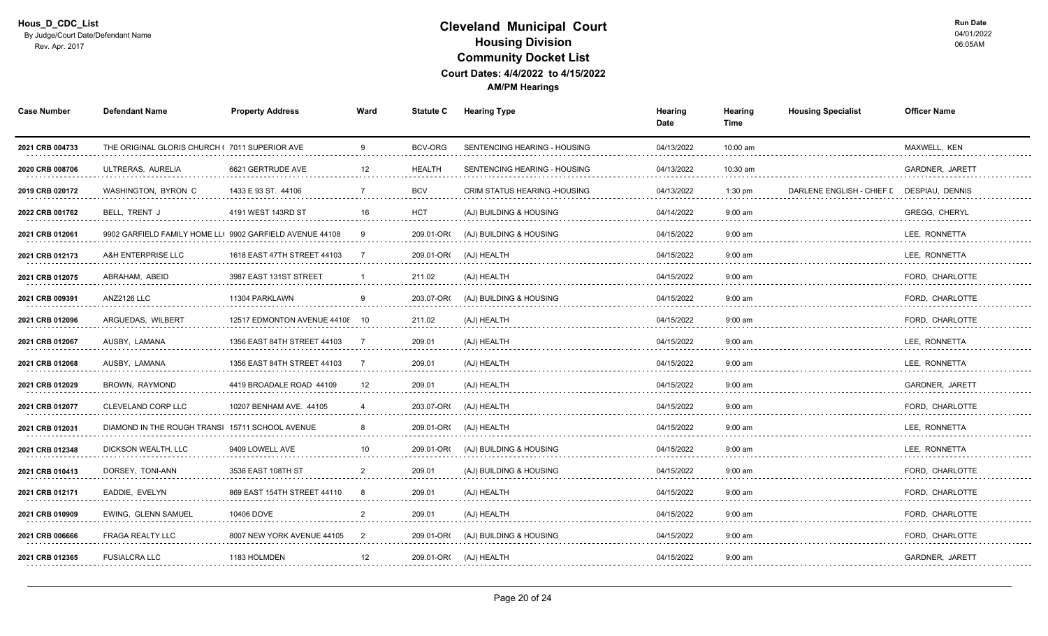| <b>Case Number</b>   | <b>Defendant Name</b>                                    | <b>Property Address</b>        | Ward                  | <b>Statute C</b> | <b>Hearing Type</b>           | Hearing<br>Date | Hearing<br>Time | <b>Housing Specialist</b> | <b>Officer Name</b>         |
|----------------------|----------------------------------------------------------|--------------------------------|-----------------------|------------------|-------------------------------|-----------------|-----------------|---------------------------|-----------------------------|
| 2021 CRB 004733      | THE ORIGINAL GLORIS CHURCH (7011 SUPERIOR AVE            |                                | 9                     | BCV-ORG          | SENTENCING HEARING - HOUSING  | 04/13/2022      | 10:00 am        |                           | MAXWELL, KEN                |
| 2020 CRB 008706<br>. | ULTRERAS, AURELIA                                        | 6621 GERTRUDE AVE              | 12                    | <b>HEALTH</b>    | SENTENCING HEARING - HOUSING  | 04/13/2022      | 10:30 am<br>.   |                           | <b>GARDNER, JARETT</b><br>. |
| 2019 CRB 020172      | WASHINGTON, BYRON C                                      | 1433 E 93 ST. 44106            |                       | <b>BCV</b>       | CRIM STATUS HEARING - HOUSING | 04/13/2022      | $1:30$ pm       | DARLENE ENGLISH - CHIEF I | <b>DESPIAU, DENNIS</b>      |
| 2022 CRB 001762      | BELL. TRENT J                                            | 4191 WEST 143RD ST             | 16                    | <b>HCT</b>       | (AJ) BUILDING & HOUSING       | 04/14/2022      | $9:00$ am       |                           | <b>GREGG, CHERYL</b>        |
| 2021 CRB 012061      | 9902 GARFIELD FAMILY HOME LL( 9902 GARFIELD AVENUE 44108 |                                | 9                     | 209.01-OR        | (AJ) BUILDING & HOUSING       | 04/15/2022      | $9:00$ am       |                           | LEE, RONNETTA               |
| 2021 CRB 012173      | A&H ENTERPRISE LLC                                       | 1618 EAST 47TH STREET 44103    |                       | 209.01-OR(       | (AJ) HEALTH                   | 04/15/2022      | $9:00$ am       |                           | LEE, RONNETTA               |
| 2021 CRB 012075<br>. | ABRAHAM, ABEID<br>.                                      | 3987 EAST 131ST STREET<br>.    |                       | 211.02           | (AJ) HEALTH                   | 04/15/2022      | $9:00$ am       |                           | FORD. CHARLOTTE<br>.        |
| 2021 CRB 009391      | ANZ2126 LLC                                              | 11304 PARKLAWN                 |                       | 203.07-OR        | (AJ) BUILDING & HOUSING       | 04/15/2022      | $9:00$ am       |                           | FORD. CHARLOTTE             |
| 2021 CRB 012096      | ARGUEDAS, WILBERT                                        | 12517 EDMONTON AVENUE 44108 10 |                       | 211.02           | (AJ) HEALTH                   | 04/15/2022      | $9:00$ am       |                           | FORD, CHARLOTTE             |
| 2021 CRB 012067      | AUSBY, LAMANA                                            | 1356 EAST 84TH STREET 44103    |                       | 209.01           | (AJ) HEALTH                   | 04/15/2022      | $9:00$ am       |                           | LEE, RONNETTA               |
| 2021 CRB 012068<br>. | AUSBY, LAMANA<br>.                                       | 1356 EAST 84TH STREET 44103    |                       | 209.01           | (AJ) HEALTH<br>.              | 04/15/2022<br>. | $9:00$ am<br>.  |                           | LEE, RONNETTA<br>.          |
| 2021 CRB 012029      | BROWN, RAYMOND                                           | 4419 BROADALE ROAD 44109       | 12                    | 209.01           | (AJ) HEALTH                   | 04/15/2022      | $9:00$ am       |                           | <b>GARDNER, JARETT</b>      |
| 2021 CRB 012077<br>. | <b>CLEVELAND CORP LLC</b>                                | 10207 BENHAM AVE. 44105        | $\boldsymbol{\Delta}$ | 203.07-OR        | (AJ) HEALTH                   | 04/15/2022      | $9:00$ am       |                           | FORD, CHARLOTTE             |
| 2021 CRB 012031      | DIAMOND IN THE ROUGH TRANSI 15711 SCHOOL AVENUE          |                                | 8                     |                  | 209.01-OR( (AJ) HEALTH        | 04/15/2022      | $9:00$ am       |                           | LEE, RONNETTA               |
| 2021 CRB 012348<br>. | DICKSON WEALTH, LLC                                      | 9409 LOWELL AVE                | 10                    | 209.01-OR        | (AJ) BUILDING & HOUSING       | 04/15/2022<br>. | $9:00$ am       |                           | LEE, RONNETTA<br>.          |
| 2021 CRB 010413      | DORSEY, TONI-ANN                                         | 3538 EAST 108TH ST             |                       | 209.01           | (AJ) BUILDING & HOUSING       | 04/15/2022      | $9:00$ am       |                           | FORD, CHARLOTTE             |
| 2021 CRB 012171      | EADDIE, EVELYN                                           | 869 EAST 154TH STREET 44110    | -8                    | 209.01           | (AJ) HEALTH                   | 04/15/2022      | $9:00$ am       |                           | FORD, CHARLOTTE             |
| 2021 CRB 010909      | EWING, GLENN SAMUEL                                      | 10406 DOVE                     | 2                     | 209.01           | (AJ) HEALTH                   | 04/15/2022      | $9:00$ am       |                           | FORD, CHARLOTTE             |
| 2021 CRB 006666<br>. | FRAGA REALTY LLC<br>.                                    | 8007 NEW YORK AVENUE 44105     | 2                     | 209.01-OR(       | (AJ) BUILDING & HOUSING       | 04/15/2022      | $9:00$ am<br>.  |                           | FORD, CHARLOTTE<br>.        |
| 2021 CRB 012365      | <b>FUSIALCRA LLC</b>                                     | 1183 HOLMDEN                   | 12                    |                  | 209.01-OR( (AJ) HEALTH        | 04/15/2022      | $9:00$ am       |                           | GARDNER, JARETT             |
|                      |                                                          |                                |                       |                  |                               |                 |                 |                           |                             |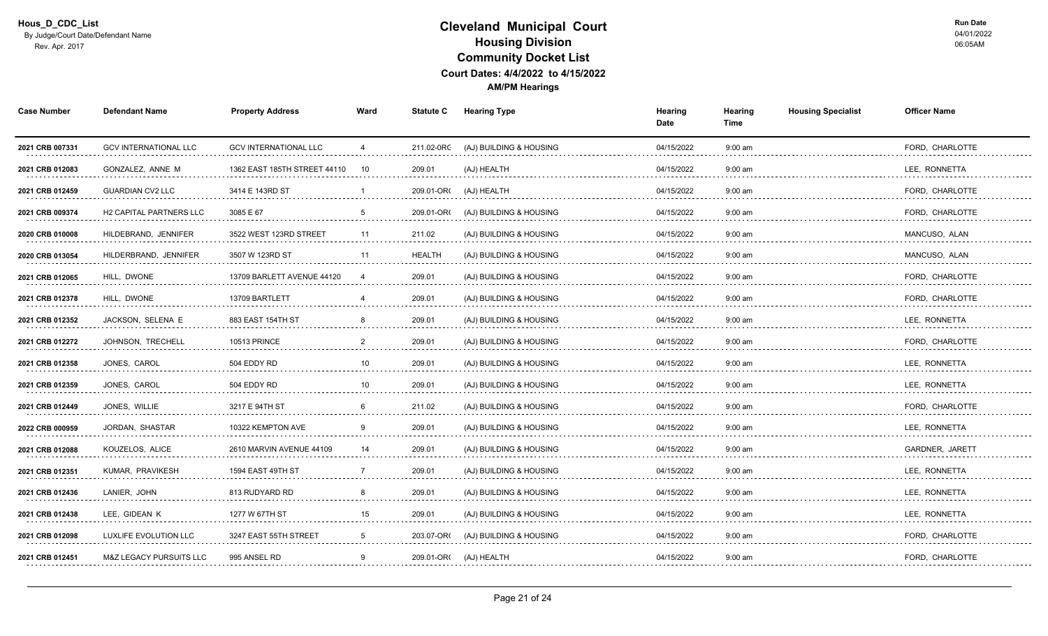| <b>Case Number</b>   | <b>Defendant Name</b>              | <b>Property Address</b>      | Ward     | <b>Statute C</b> | Hearing Type            | Hearing<br>Date | Hearing<br>Time | <b>Housing Specialist</b> | <b>Officer Name</b>  |
|----------------------|------------------------------------|------------------------------|----------|------------------|-------------------------|-----------------|-----------------|---------------------------|----------------------|
| 2021 CRB 007331      | <b>GCV INTERNATIONAL LLC</b>       | <b>GCV INTERNATIONAL LLC</b> | 4        | 211.02-0RC       | (AJ) BUILDING & HOUSING | 04/15/2022      | $9:00$ am       |                           | FORD, CHARLOTTE      |
| 2021 CRB 012083      | GONZALEZ, ANNE M                   | 1362 EAST 185TH STREET 44110 | 10       | 209.01           | (AJ) HEALTH             | 04/15/2022      | $9:00$ am       |                           | LEE, RONNETTA<br>.   |
| 2021 CRB 012459      | <b>GUARDIAN CV2 LLC</b>            | 3414 E 143RD ST              |          | 209.01-OR        | (AJ) HEALTH             | 04/15/2022      | $9:00$ am       |                           | FORD, CHARLOTTE<br>. |
| 2021 CRB 009374      | <b>H2 CAPITAL PARTNERS LLC</b>     | 3085 E 67                    | 5        | 209.01-OR        | (AJ) BUILDING & HOUSING | 04/15/2022      | $9:00$ am       |                           | FORD, CHARLOTTE      |
| 2020 CRB 010008<br>. | HILDEBRAND, JENNIFER               | 3522 WEST 123RD STREET       | 11       | 211.02           | (AJ) BUILDING & HOUSING | 04/15/2022      | $9:00$ am       |                           | MANCUSO, ALAN        |
| 2020 CRB 013054      | HILDERBRAND, JENNIFER              | 3507 W 123RD ST              | 11       | <b>HEALTH</b>    | (AJ) BUILDING & HOUSING | 04/15/2022      | $9:00$ am       |                           | MANCUSO, ALAN        |
| 2021 CRB 012065<br>. | HILL, DWONE<br>.                   | 13709 BARLETT AVENUE 44120   |          | 209.01           | (AJ) BUILDING & HOUSING | 04/15/2022<br>. | $9:00$ am       |                           | FORD, CHARLOTTE<br>. |
| 2021 CRB 012378      | HILL, DWONE                        | 13709 BARTLETT               |          | 209.01           | (AJ) BUILDING & HOUSING | 04/15/2022      | $9:00$ am       |                           | FORD, CHARLOTTE      |
| 2021 CRB 012352      | JACKSON, SELENA E                  | 883 EAST 154TH ST            | 8        | 209.01           | (AJ) BUILDING & HOUSING | 04/15/2022      | $9:00$ am       |                           | LEE, RONNETTA        |
| 2021 CRB 012272      | JOHNSON, TRECHELL                  | <b>10513 PRINCE</b>          | 2        | 209.01           | (AJ) BUILDING & HOUSING | 04/15/2022      | $9:00$ am       |                           | FORD, CHARLOTTE      |
| 2021 CRB 012358<br>. | JONES, CAROL<br>.                  | 504 EDDY RD<br>.             | 10       | 209.01           | (AJ) BUILDING & HOUSING | 04/15/2022<br>. | $9:00$ am       |                           | LEE, RONNETTA<br>.   |
| 2021 CRB 012359      | JONES, CAROL                       | 504 EDDY RD                  | 10       | 209.01           | (AJ) BUILDING & HOUSING | 04/15/2022      | $9:00$ am       |                           | LEE, RONNETTA        |
| 2021 CRB 012449      | JONES, WILLIE                      | 3217 E 94TH ST               | <b>6</b> | 211.02           | (AJ) BUILDING & HOUSING | 04/15/2022      | $9:00$ am       |                           | FORD, CHARLOTTE      |
| 2022 CRB 000959      | JORDAN, SHASTAR                    | 10322 KEMPTON AVE            | 9        | 209.01           | (AJ) BUILDING & HOUSING | 04/15/2022      | $9:00$ am       |                           | LEE, RONNETTA        |
| 2021 CRB 012088<br>. | KOUZELOS, ALICE<br>.               | 2610 MARVIN AVENUE 44109     | 14       | 209.01<br>.      | (AJ) BUILDING & HOUSING | 04/15/2022<br>. | $9:00$ am<br>.  |                           | GARDNER, JARETT      |
| 2021 CRB 012351      | KUMAR, PRAVIKESH                   | 1594 EAST 49TH ST            |          | 209.01           | (AJ) BUILDING & HOUSING | 04/15/2022      | $9:00$ am       |                           | LEE, RONNETTA        |
| 2021 CRB 012436      | LANIER. JOHN                       | 813 RUDYARD RD               |          | 209.01           | (AJ) BUILDING & HOUSING | 04/15/2022      | $9:00$ am       |                           | LEE. RONNETTA        |
| 2021 CRB 012438      | LEE, GIDEAN K                      | 1277 W 67TH ST               | 15       | 209.01           | (AJ) BUILDING & HOUSING | 04/15/2022      | $9:00$ am       |                           | LEE. RONNETTA        |
| 2021 CRB 012098      | LUXLIFE EVOLUTION LLC              | 3247 EAST 55TH STREET        | 5        | 203.07-OR(       | (AJ) BUILDING & HOUSING | 04/15/2022      | $9:00$ am       |                           | FORD, CHARLOTTE      |
| 2021 CRB 012451      | <b>M&amp;Z LEGACY PURSUITS LLC</b> | 995 ANSEL RD                 | 9        | 209.01-OR(       | (AJ) HEALTH             | 04/15/2022      | 9:00 am         |                           | FORD, CHARLOTTE      |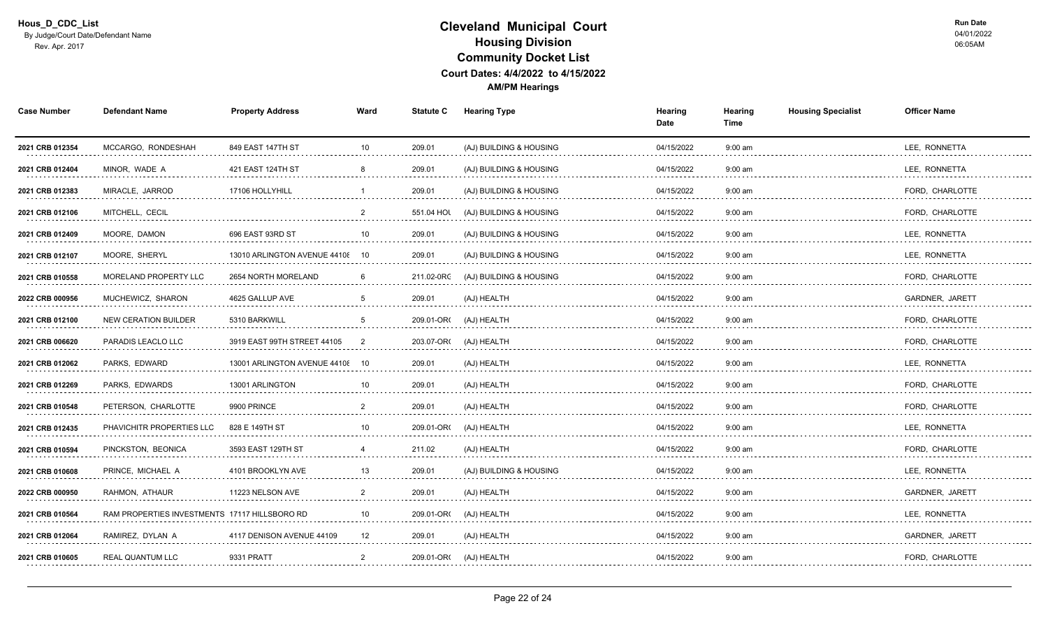| <b>Case Number</b>   | <b>Defendant Name</b>                         | <b>Property Address</b>         | Ward            | <b>Statute C</b>              | <b>Hearing Type</b>     | Hearing<br>Date | Hearing<br>Time | <b>Housing Specialist</b> | <b>Officer Name</b>  |
|----------------------|-----------------------------------------------|---------------------------------|-----------------|-------------------------------|-------------------------|-----------------|-----------------|---------------------------|----------------------|
| 2021 CRB 012354      | MCCARGO, RONDESHAH                            | 849 EAST 147TH ST               | 10 <sup>1</sup> | 209.01                        | (AJ) BUILDING & HOUSING | 04/15/2022      | $9:00$ am       |                           | LEE, RONNETTA        |
| 2021 CRB 012404      | MINOR, WADE A                                 | 421 EAST 124TH ST               |                 | 209.01                        | (AJ) BUILDING & HOUSING | 04/15/2022      | $9:00$ am       |                           | LEE, RONNETTA<br>.   |
| 2021 CRB 012383<br>. | MIRACLE, JARROD                               | 17106 HOLLYHILL                 |                 | 209.01                        | (AJ) BUILDING & HOUSING | 04/15/2022      | $9:00$ am       |                           | FORD, CHARLOTTE<br>. |
| 2021 CRB 012106      | MITCHELL, CECIL                               |                                 | $\overline{2}$  | 551.04 HOL                    | (AJ) BUILDING & HOUSING | 04/15/2022      | $9:00$ am       |                           | FORD, CHARLOTTE      |
| 2021 CRB 012409      | MOORE, DAMON                                  | 696 EAST 93RD ST                | 10              | 209.01                        | (AJ) BUILDING & HOUSING | 04/15/2022      | $9:00$ am       |                           | LEE, RONNETTA        |
| 2021 CRB 012107      | MOORE, SHERYL                                 | 13010 ARLINGTON AVENUE 44108    | - 10            | 209.01                        | (AJ) BUILDING & HOUSING | 04/15/2022      | $9:00$ am       |                           | LEE, RONNETTA        |
| 2021 CRB 010558<br>. | MORELAND PROPERTY LLC                         | 2654 NORTH MORELAND             |                 | 211.02-0RC                    | (AJ) BUILDING & HOUSING | 04/15/2022<br>. | $9:00$ am       |                           | FORD, CHARLOTTE<br>. |
| 2022 CRB 000956      | MUCHEWICZ, SHARON                             | 4625 GALLUP AVE                 |                 | 209.01                        | (AJ) HEALTH             | 04/15/2022      | $9:00$ am       |                           | GARDNER, JARETT      |
| 2021 CRB 012100      | <b>NEW CERATION BUILDER</b>                   | 5310 BARKWILL                   | $\overline{5}$  | 209.01-OR(                    | (AJ) HEALTH             | 04/15/2022      | $9:00$ am       |                           | FORD, CHARLOTTE      |
| 2021 CRB 006620      | PARADIS LEACLO LLC                            | 3919 EAST 99TH STREET 44105     | -2              | 203.07-OR(                    | (AJ) HEALTH             | 04/15/2022      | $9:00$ am       |                           | FORD, CHARLOTTE      |
| 2021 CRB 012062<br>. | PARKS, EDWARD<br>.                            | 13001 ARLINGTON AVENUE 44108 10 |                 | 209.01<br>and a strategic and | (AJ) HEALTH<br>.        | 04/15/2022<br>. | $9:00$ am<br>.  |                           | LEE, RONNETTA<br>.   |
| 2021 CRB 012269      | PARKS, EDWARDS                                | 13001 ARLINGTON                 |                 | 209.01                        | (AJ) HEALTH             | 04/15/2022      | $9:00$ am       |                           | FORD, CHARLOTTE      |
| 2021 CRB 010548<br>. | PETERSON, CHARLOTTE                           | 9900 PRINCE                     |                 | 209.01                        | (AJ) HEALTH             | 04/15/2022      | $9:00$ am       |                           | FORD, CHARLOTTE      |
| 2021 CRB 012435      | PHAVICHITR PROPERTIES LLC                     | 828 E 149TH ST                  | 10              | 209.01-OR                     | (AJ) HEALTH             | 04/15/2022      | $9:00$ am       |                           | LEE, RONNETTA        |
| 2021 CRB 010594<br>. | PINCKSTON, BEONICA                            | 3593 EAST 129TH ST              |                 | 211.02<br>.                   | (AJ) HEALTH             | 04/15/2022<br>. | $9:00$ am<br>.  |                           | FORD, CHARLOTTE      |
| 2021 CRB 010608      | PRINCE, MICHAEL A                             | 4101 BROOKLYN AVE               |                 | 209.01                        | (AJ) BUILDING & HOUSING | 04/15/2022      | $9:00$ am       |                           | LEE, RONNETTA        |
| 2022 CRB 000950      | RAHMON, ATHAUR                                | 11223 NELSON AVE                |                 | 209.01                        | (AJ) HEALTH             | 04/15/2022      | $9:00$ am       |                           | GARDNER, JARETT      |
| 2021 CRB 010564      | RAM PROPERTIES INVESTMENTS 17117 HILLSBORO RD |                                 | 10              | 209.01-OR                     | (AJ) HEALTH             | 04/15/2022      | $9:00$ am       |                           | LEE, RONNETTA        |
| 2021 CRB 012064      | RAMIREZ, DYLAN A                              | 4117 DENISON AVENUE 44109       | 12              | 209.01                        | (AJ) HEALTH             | 04/15/2022      | $9:00$ am       |                           | GARDNER, JARETT      |
| 2021 CRB 010605      | <b>REAL QUANTUM LLC</b>                       | 9331 PRATT                      | $\overline{2}$  |                               | 209.01-OR( (AJ) HEALTH  | 04/15/2022      | $9:00$ am       |                           | FORD, CHARLOTTE      |
|                      |                                               |                                 |                 |                               |                         |                 |                 |                           |                      |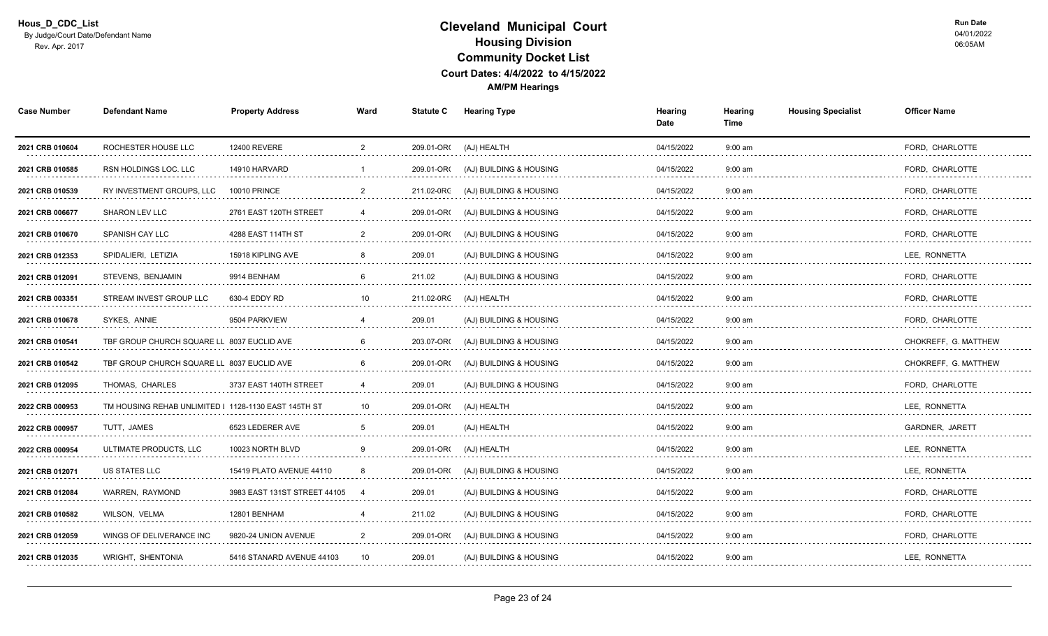| <b>Case Number</b>   | <b>Defendant Name</b>                                | <b>Property Address</b>      | Ward           | <b>Statute C</b> | <b>Hearing Type</b>     | Hearing<br>Date | Hearing<br>Time | <b>Housing Specialist</b> | <b>Officer Name</b>  |
|----------------------|------------------------------------------------------|------------------------------|----------------|------------------|-------------------------|-----------------|-----------------|---------------------------|----------------------|
| 2021 CRB 010604      | ROCHESTER HOUSE LLC                                  | <b>12400 REVERE</b>          | $\overline{2}$ | 209.01-OR(       | (AJ) HEALTH             | 04/15/2022      | $9:00$ am       |                           | FORD, CHARLOTTE      |
| 2021 CRB 010585      | <b>RSN HOLDINGS LOC. LLC</b>                         | 14910 HARVARD                |                | 209.01-OR        | (AJ) BUILDING & HOUSING | 04/15/2022      | $9:00$ am       |                           | FORD. CHARLOTTE<br>. |
| 2021 CRB 010539      | RY INVESTMENT GROUPS, LLC                            | <b>10010 PRINCE</b>          |                | 211.02-0RC       | (AJ) BUILDING & HOUSING | 04/15/2022      | $9:00$ am       |                           | FORD. CHARLOTTE<br>. |
| 2021 CRB 006677      | <b>SHARON LEV LLC</b>                                | 2761 EAST 120TH STREET       |                | 209.01-OR        | (AJ) BUILDING & HOUSING | 04/15/2022      | $9:00$ am       |                           | FORD, CHARLOTTE      |
| 2021 CRB 010670      | SPANISH CAY LLC                                      | 4288 EAST 114TH ST           | 2              | 209.01-OR        | (AJ) BUILDING & HOUSING | 04/15/2022      | $9:00$ am       |                           | FORD, CHARLOTTE      |
| 2021 CRB 012353      | SPIDALIERI, LETIZIA                                  | 15918 KIPLING AVE            | 8              | 209.01           | (AJ) BUILDING & HOUSING | 04/15/2022      | $9:00$ am       |                           | LEE, RONNETTA        |
| 2021 CRB 012091<br>. | STEVENS, BENJAMIN                                    | 9914 BENHAM                  |                | 211.02           | (AJ) BUILDING & HOUSING | 04/15/2022<br>. | $9:00$ am<br>.  |                           | FORD, CHARLOTTE<br>. |
| 2021 CRB 003351      | STREAM INVEST GROUP LLC                              | 630-4 EDDY RD                | 10             |                  | 211.02-0RC (AJ) HEALTH  | 04/15/2022      | $9:00$ am       |                           | FORD, CHARLOTTE      |
| 2021 CRB 010678      | SYKES, ANNIE                                         | 9504 PARKVIEW                |                | 209.01           | (AJ) BUILDING & HOUSING | 04/15/2022      | $9:00$ am       |                           | FORD, CHARLOTTE      |
| 2021 CRB 010541      | TBF GROUP CHURCH SQUARE LL 8037 EUCLID AVE           |                              |                | 203.07-OR(       | (AJ) BUILDING & HOUSING | 04/15/2022      | $9:00$ am       |                           | CHOKREFF, G. MATTHEW |
| 2021 CRB 010542<br>. | TBF GROUP CHURCH SQUARE LL 8037 EUCLID AVE           |                              |                | 209.01-OR        | (AJ) BUILDING & HOUSING | 04/15/2022<br>. | $9:00$ am<br>.  |                           | CHOKREFF, G. MATTHEW |
| 2021 CRB 012095      | THOMAS. CHARLES                                      | 3737 EAST 140TH STREET       |                | 209.01           | (AJ) BUILDING & HOUSING | 04/15/2022      | $9:00$ am       |                           | FORD. CHARLOTTE      |
| 2022 CRB 000953      | TM HOUSING REHAB UNLIMITED I 1128-1130 EAST 145TH ST |                              | 10             | 209.01-OR        | (AJ) HEALTH             | 04/15/2022      | $9:00$ am       |                           | LEE, RONNETTA        |
| 2022 CRB 000957      | TUTT, JAMES                                          | 6523 LEDERER AVE             |                | 209.01           | (AJ) HEALTH             | 04/15/2022      | $9:00$ am       |                           | GARDNER, JARETT      |
| 2022 CRB 000954<br>. | ULTIMATE PRODUCTS, LLC                               | 10023 NORTH BLVD             |                | 209.01-OR(       | (AJ) HEALTH             | 04/15/2022      | $9:00$ am       |                           | LEE, RONNETTA        |
| 2021 CRB 012071      | US STATES LLC                                        | 15419 PLATO AVENUE 44110     |                | 209.01-OR        | (AJ) BUILDING & HOUSING | 04/15/2022      | $9:00$ am       |                           | LEE, RONNETTA        |
| 2021 CRB 012084      | <b>WARREN, RAYMOND</b>                               | 3983 EAST 131ST STREET 44105 |                | 209.01           | (AJ) BUILDING & HOUSING | 04/15/2022      | $9:00$ am       |                           | FORD, CHARLOTTE      |
| 2021 CRB 010582      | WILSON, VELMA                                        | 12801 BENHAM                 |                | 211.02           | (AJ) BUILDING & HOUSING | 04/15/2022      | $9:00$ am       |                           | FORD, CHARLOTTE      |
| 2021 CRB 012059<br>. | WINGS OF DELIVERANCE INC                             | 9820-24 UNION AVENUE         | 2              | 209.01-OR(       | (AJ) BUILDING & HOUSING | 04/15/2022<br>. | $9:00$ am<br>.  |                           | FORD, CHARLOTTE<br>. |
| 2021 CRB 012035      | WRIGHT, SHENTONIA                                    | 5416 STANARD AVENUE 44103    | 10             | 209.01           | (AJ) BUILDING & HOUSING | 04/15/2022      | $9:00$ am       |                           | LEE, RONNETTA        |